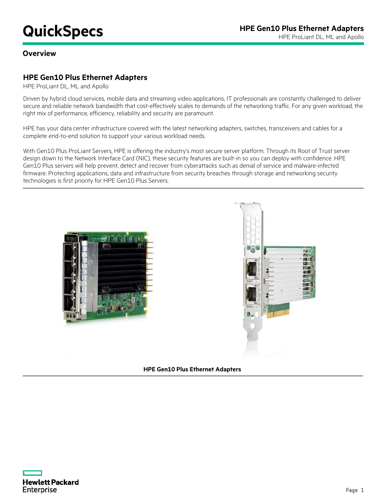## **Overview**

## **HPE Gen10 Plus Ethernet Adapters**

HPE ProLiant DL, ML and Apollo

Driven by hybrid cloud services, mobile data and streaming video applications, IT professionals are constantly challenged to deliver secure and reliable network bandwidth that cost-effectively scales to demands of the networking traffic. For any given workload, the right mix of performance, efficiency, reliability and security are paramount.

HPE has your data center infrastructure covered with the latest networking adapters, switches, transceivers and cables for a complete end-to-end solution to support your various workload needs.

With Gen10 Plus ProLiant Servers, HPE is offering the industry's most secure server platform. Through its Root of Trust server design down to the Network Interface Card (NIC), these security features are built-in so you can deploy with confidence. HPE Gen10 Plus servers will help prevent, detect and recover from cyberattacks such as denial of service and malware-infected firmware. Protecting applications, data and infrastructure from security breaches through storage and networking security technologies is first priority for HPE Gen10 Plus Servers.





**HPE Gen10 Plus Ethernet Adapters**

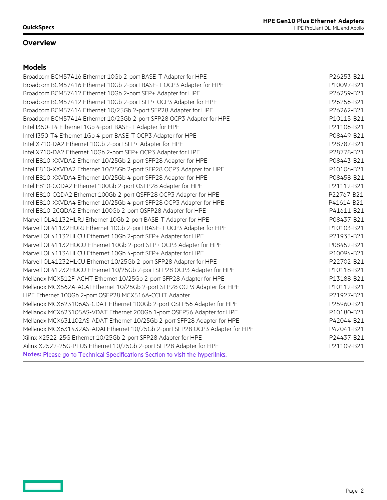## **Overview**

## **Models**

<u>and the second</u>

| Broadcom BCM57416 Ethernet 10Gb 2-port BASE-T Adapter for HPE                 | P26253-B21 |
|-------------------------------------------------------------------------------|------------|
| Broadcom BCM57416 Ethernet 10Gb 2-port BASE-T OCP3 Adapter for HPE            | P10097-B21 |
| Broadcom BCM57412 Ethernet 10Gb 2-port SFP+ Adapter for HPE                   | P26259-B21 |
| Broadcom BCM57412 Ethernet 10Gb 2-port SFP+ OCP3 Adapter for HPE              | P26256-B21 |
| Broadcom BCM57414 Ethernet 10/25Gb 2-port SFP28 Adapter for HPE               | P26262-B21 |
| Broadcom BCM57414 Ethernet 10/25Gb 2-port SFP28 OCP3 Adapter for HPE          | P10115-B21 |
| Intel I350-T4 Ethernet 1Gb 4-port BASE-T Adapter for HPE                      | P21106-B21 |
| Intel I350-T4 Ethernet 1Gb 4-port BASE-T OCP3 Adapter for HPE                 | P08449-B21 |
| Intel X710-DA2 Ethernet 10Gb 2-port SFP+ Adapter for HPE                      | P28787-B21 |
| Intel X710-DA2 Ethernet 10Gb 2-port SFP+ OCP3 Adapter for HPE                 | P28778-B21 |
| Intel E810-XXVDA2 Ethernet 10/25Gb 2-port SFP28 Adapter for HPE               | P08443-B21 |
| Intel E810-XXVDA2 Ethernet 10/25Gb 2-port SFP28 OCP3 Adapter for HPE          | P10106-B21 |
| Intel E810-XXVDA4 Ethernet 10/25Gb 4-port SFP28 Adapter for HPE               | P08458-B21 |
| Intel E810-CQDA2 Ethernet 100Gb 2-port QSFP28 Adapter for HPE                 | P21112-B21 |
| Intel E810-CQDA2 Ethernet 100Gb 2-port QSFP28 OCP3 Adapter for HPE            | P22767-B21 |
| Intel E810-XXVDA4 Ethernet 10/25Gb 4-port SFP28 OCP3 Adapter for HPE          | P41614-B21 |
| Intel E810-2CQDA2 Ethernet 100Gb 2-port QSFP28 Adapter for HPE                | P41611-B21 |
| Marvell QL41132HLRJ Ethernet 10Gb 2-port BASE-T Adapter for HPE               | P08437-B21 |
| Marvell QL41132HQRJ Ethernet 10Gb 2-port BASE-T OCP3 Adapter for HPE          | P10103-B21 |
| Marvell QL41132HLCU Ethernet 10Gb 2-port SFP+ Adapter for HPE                 | P21933-B21 |
| Marvell QL41132HQCU Ethernet 10Gb 2-port SFP+ OCP3 Adapter for HPE            | P08452-B21 |
| Marvell QL41134HLCU Ethernet 10Gb 4-port SFP+ Adapter for HPE                 | P10094-B21 |
| Marvell QL41232HLCU Ethernet 10/25Gb 2-port SFP28 Adapter for HPE             | P22702-B21 |
| Marvell QL41232HQCU Ethernet 10/25Gb 2-port SFP28 OCP3 Adapter for HPE        | P10118-B21 |
| Mellanox MCX512F-ACHT Ethernet 10/25Gb 2-port SFP28 Adapter for HPE           | P13188-B21 |
| Mellanox MCX562A-ACAI Ethernet 10/25Gb 2-port SFP28 OCP3 Adapter for HPE      | P10112-B21 |
| HPE Ethernet 100Gb 2-port QSFP28 MCX516A-CCHT Adapter                         | P21927-B21 |
| Mellanox MCX623106AS-CDAT Ethernet 100Gb 2-port QSFP56 Adapter for HPE        | P25960-B21 |
| Mellanox MCX623105AS-VDAT Ethernet 200Gb 1-port QSFP56 Adapter for HPE        | P10180-B21 |
| Mellanox MCX631102AS-ADAT Ethernet 10/25Gb 2-port SFP28 Adapter for HPE       | P42044-B21 |
| Mellanox MCX631432AS-ADAI Ethernet 10/25Gb 2-port SFP28 OCP3 Adapter for HPE  | P42041-B21 |
| Xilinx X2522-25G Ethernet 10/25Gb 2-port SFP28 Adapter for HPE                | P24437-B21 |
| Xilinx X2522-25G-PLUS Ethernet 10/25Gb 2-port SFP28 Adapter for HPE           | P21109-B21 |
| Notes: Please go to Technical Specifications Section to visit the hyperlinks. |            |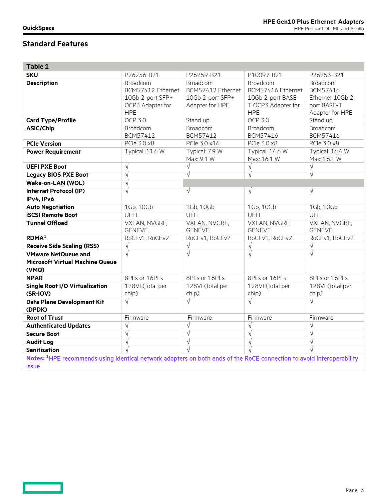$\qquad \qquad =$ 

| Table 1                                                                                                                                           |                                                                                     |                                                                      |                                                                                        |                                                                            |
|---------------------------------------------------------------------------------------------------------------------------------------------------|-------------------------------------------------------------------------------------|----------------------------------------------------------------------|----------------------------------------------------------------------------------------|----------------------------------------------------------------------------|
| <b>SKU</b>                                                                                                                                        | P26256-B21                                                                          | P26259-B21                                                           | P10097-B21                                                                             | P26253-B21                                                                 |
| <b>Description</b>                                                                                                                                | Broadcom<br>BCM57412 Ethernet<br>10Gb 2-port SFP+<br>OCP3 Adapter for<br><b>HPE</b> | Broadcom<br>BCM57412 Ethernet<br>10Gb 2-port SFP+<br>Adapter for HPE | Broadcom<br>BCM57416 Ethernet<br>10Gb 2-port BASE-<br>T OCP3 Adapter for<br><b>HPE</b> | Broadcom<br>BCM57416<br>Ethernet 10Gb 2-<br>port BASE-T<br>Adapter for HPE |
| <b>Card Type/Profile</b>                                                                                                                          | <b>OCP 3.0</b>                                                                      | Stand up                                                             | <b>OCP 3.0</b>                                                                         | Stand up                                                                   |
| ASIC/Chip                                                                                                                                         | Broadcom<br>BCM57412                                                                | Broadcom<br>BCM57412                                                 | Broadcom<br>BCM57416                                                                   | Broadcom<br>BCM57416                                                       |
| <b>PCIe Version</b>                                                                                                                               | PCIe 3.0 x8                                                                         | PCle 3.0 x16                                                         | PCIe 3.0 x8                                                                            | PCle 3.0 x8                                                                |
| <b>Power Requirement</b>                                                                                                                          | Typical: 11.6 W                                                                     | Typical: 7.9 W<br>Max: 9.1 W                                         | Typical: 14.6 W<br>Max: 16.1 W                                                         | Typical: 16.4 W<br>Max: 16.1 W                                             |
| <b>UEFI PXE Boot</b>                                                                                                                              | $\sqrt{ }$                                                                          | $\sqrt{ }$                                                           | $\sqrt{ }$                                                                             | $\sqrt{}$                                                                  |
| <b>Legacy BIOS PXE Boot</b>                                                                                                                       | $\sqrt{ }$                                                                          | $\sqrt{ }$                                                           | $\sqrt{ }$                                                                             | $\sqrt{ }$                                                                 |
| Wake-on-LAN (WOL)                                                                                                                                 | $\sqrt{ }$                                                                          |                                                                      |                                                                                        |                                                                            |
| <b>Internet Protocol (IP)</b><br>IPv4, IPv6                                                                                                       | $\sqrt{}$                                                                           | $\sqrt{ }$                                                           | $\sqrt{ }$                                                                             | $\sqrt{ }$                                                                 |
| <b>Auto Negotiation</b>                                                                                                                           | 1Gb, 10Gb                                                                           | 1Gb, 10Gb                                                            | 1Gb, 10Gb                                                                              | 1Gb, 10Gb                                                                  |
| <b>iSCSI Remote Boot</b>                                                                                                                          | <b>UEFI</b>                                                                         | <b>UEFI</b>                                                          | <b>UEFI</b>                                                                            | <b>UEFI</b>                                                                |
| <b>Tunnel Offload</b>                                                                                                                             | VXLAN, NVGRE,<br><b>GENEVE</b>                                                      | VXLAN, NVGRE,<br><b>GENEVE</b>                                       | VXLAN, NVGRE,<br><b>GENEVE</b>                                                         | VXLAN, NVGRE,<br><b>GENEVE</b>                                             |
| <b>RDMA</b> <sup>1</sup>                                                                                                                          | RoCEv1, RoCEv2                                                                      | RoCEv1, RoCEv2                                                       | RoCEv1, RoCEv2                                                                         | RoCEv1, RoCEv2                                                             |
| <b>Receive Side Scaling (RSS)</b>                                                                                                                 | $\sqrt{ }$                                                                          | $\sqrt{}$                                                            | $\sqrt{ }$                                                                             | $\sqrt{}$                                                                  |
| <b>VMware NetQueue and</b><br><b>Microsoft Virtual Machine Queue</b><br>(VMQ)                                                                     | $\sqrt{}$                                                                           | $\sqrt{ }$                                                           | $\sqrt{}$                                                                              | $\sqrt{ }$                                                                 |
| <b>NPAR</b>                                                                                                                                       | 8PFs or 16PFs                                                                       | 8PFs or 16PFs                                                        | 8PFs or 16PFs                                                                          | 8PFs or 16PFs                                                              |
| <b>Single Root I/O Virtualization</b><br>(SR-IOV)                                                                                                 | 128VF(total per<br>chip)                                                            | 128VF(total per<br>chip)                                             | 128VF(total per<br>chip)                                                               | 128VF(total per<br>chip)                                                   |
| Data Plane Development Kit<br>(DPDK)                                                                                                              | $\sqrt{}$                                                                           | $\sqrt{}$                                                            | $\sqrt{}$                                                                              | $\sqrt{}$                                                                  |
| <b>Root of Trust</b>                                                                                                                              | Firmware                                                                            | Firmware                                                             | Firmware                                                                               | Firmware                                                                   |
| <b>Authenticated Updates</b>                                                                                                                      | $\sqrt{ }$                                                                          | $\sqrt{ }$                                                           | $\sqrt{ }$                                                                             | $\sqrt{}$                                                                  |
| <b>Secure Boot</b>                                                                                                                                | $\sqrt{ }$                                                                          | $\sqrt{ }$                                                           | $\sqrt{ }$                                                                             | $\sqrt{ }$                                                                 |
| <b>Audit Log</b>                                                                                                                                  | $\sqrt{ }$                                                                          | $\sqrt{}$                                                            | $\sqrt{ }$                                                                             | $\sqrt{ }$                                                                 |
| <b>Sanitization</b>                                                                                                                               |                                                                                     | $\sqrt{ }$                                                           | $\sqrt{2}$                                                                             | $\sqrt{ }$                                                                 |
| Notes: <sup>1</sup> HPE recommends using identical network adapters on both ends of the RoCE connection to avoid interoperability<br><b>issue</b> |                                                                                     |                                                                      |                                                                                        |                                                                            |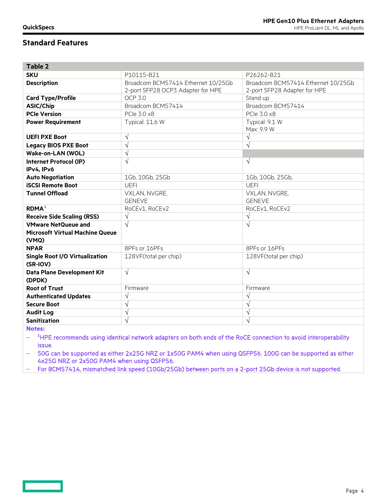| <b>Table 2</b>                         |                                    |                                    |
|----------------------------------------|------------------------------------|------------------------------------|
| <b>SKU</b>                             | P10115-B21                         | P26262-B21                         |
| <b>Description</b>                     | Broadcom BCM57414 Ethernet 10/25Gb | Broadcom BCM57414 Ethernet 10/25Gb |
|                                        | 2-port SFP28 OCP3 Adapter for HPE  | 2-port SFP28 Adapter for HPE       |
| <b>Card Type/Profile</b>               | <b>OCP 3.0</b>                     | Stand up                           |
| <b>ASIC/Chip</b>                       | Broadcom BCM57414                  | Broadcom BCM57414                  |
| <b>PCIe Version</b>                    | PCIe 3.0 x8                        | PCIe 3.0 x8                        |
| <b>Power Requirement</b>               | Typical: 11.6 W                    | Typical: 9.1 W                     |
|                                        |                                    | Max: 9.9 W                         |
| <b>UEFI PXE Boot</b>                   | $\sqrt{ }$                         | $\sqrt{}$                          |
| <b>Legacy BIOS PXE Boot</b>            | $\sqrt{}$                          | $\sqrt{}$                          |
| Wake-on-LAN (WOL)                      | V                                  |                                    |
| Internet Protocol (IP)                 | $\sqrt{}$                          | $\sqrt{ }$                         |
| IPv4, IPv6                             |                                    |                                    |
| <b>Auto Negotiation</b>                | 1Gb, 10Gb, 25Gb                    | 1Gb, 10Gb, 25Gb,                   |
| <b>iSCSI Remote Boot</b>               | <b>UEFI</b>                        | <b>UEFI</b>                        |
| <b>Tunnel Offload</b>                  | VXLAN, NVGRE,                      | VXLAN, NVGRE,                      |
|                                        | <b>GENEVE</b>                      | <b>GENEVE</b>                      |
| <b>RDMA</b> <sup>1</sup>               | RoCEv1, RoCEv2                     | RoCEv1, RoCEv2                     |
| <b>Receive Side Scaling (RSS)</b>      | $\sqrt{}$                          | $\sqrt{}$                          |
| <b>VMware NetQueue and</b>             | $\sqrt{ }$                         | $\sqrt{}$                          |
| <b>Microsoft Virtual Machine Queue</b> |                                    |                                    |
| (VMQ)                                  |                                    |                                    |
| <b>NPAR</b>                            | 8PFs or 16PFs                      | 8PFs or 16PFs                      |
| <b>Single Root I/O Virtualization</b>  | 128VF(total per chip)              | 128VF(total per chip)              |
| (SR-IOV)                               |                                    |                                    |
| Data Plane Development Kit             | $\sqrt{ }$                         | $\sqrt{ }$                         |
| (DPDK)                                 |                                    |                                    |
| <b>Root of Trust</b>                   | Firmware                           | Firmware                           |
| <b>Authenticated Updates</b>           | $\sqrt{ }$                         | $\sqrt{}$                          |
| <b>Secure Boot</b>                     | $\sqrt{}$                          | $\sqrt{}$                          |
| <b>Audit Log</b>                       | $\sqrt{}$                          | $\sqrt{}$                          |
| <b>Sanitization</b>                    | $\sqrt{}$                          | $\sqrt{}$                          |
|                                        |                                    |                                    |

**Notes:** 

− **<sup>1</sup>** HPE recommends using identical network adapters on both ends of the RoCE connection to avoid interoperability issue.

− 50G can be supported as either 2x25G NRZ or 1x50G PAM4 when using QSFP56. 100G can be supported as either 4x25G NRZ or 2x50G PAM4 when using QSFP56.

− For BCM57414, mismatched link speed (10Gb/25Gb) between ports on a 2-port 25Gb device is not supported.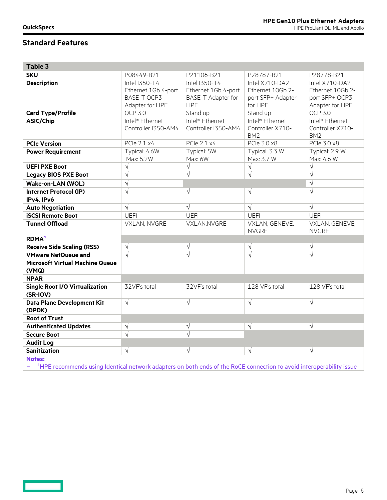**Contract Contract** 

# **Standard Features**

| Table 3                                                                       |                                                                               |                                                                                 |                                                                    |                                                                         |
|-------------------------------------------------------------------------------|-------------------------------------------------------------------------------|---------------------------------------------------------------------------------|--------------------------------------------------------------------|-------------------------------------------------------------------------|
| <b>SKU</b>                                                                    | P08449-B21                                                                    | P21106-B21                                                                      | P28787-B21                                                         | P28778-B21                                                              |
| <b>Description</b>                                                            | Intel I350-T4<br>Ethernet 1Gb 4-port<br><b>BASE-T OCP3</b><br>Adapter for HPE | Intel I350-T4<br>Ethernet 1Gb 4-port<br><b>BASE-T Adapter for</b><br><b>HPE</b> | Intel X710-DA2<br>Ethernet 10Gb 2-<br>port SFP+ Adapter<br>for HPE | Intel X710-DA2<br>Ethernet 10Gb 2-<br>port SFP+ OCP3<br>Adapter for HPE |
| <b>Card Type/Profile</b>                                                      | <b>OCP 3.0</b>                                                                | Stand up                                                                        | Stand up                                                           | <b>OCP 3.0</b>                                                          |
| <b>ASIC/Chip</b>                                                              | Intel <sup>®</sup> Ethernet<br>Controller I350-AM4                            | Intel <sup>®</sup> Ethernet<br>Controller I350-AM4                              | Intel <sup>®</sup> Ethernet<br>Controller X710-<br>BM <sub>2</sub> | Intel <sup>®</sup> Ethernet<br>Controller X710-<br>BM <sub>2</sub>      |
| <b>PCIe Version</b>                                                           | PCle 2.1 x4                                                                   | PCle 2.1 x4                                                                     | PCle 3.0 x8                                                        | PCle 3.0 x8                                                             |
| <b>Power Requirement</b>                                                      | Typical: 4.6W<br>Max: 5.2W                                                    | Typical: 5W<br>Max: 6W                                                          | Typical: 3.3 W<br>Max: 3.7 W                                       | Typical: 2.9 W<br>Max: 4.6 W                                            |
| <b>UEFI PXE Boot</b>                                                          | $\sqrt{}$                                                                     | $\sqrt{}$                                                                       | $\sqrt{}$                                                          | $\sqrt{}$                                                               |
| <b>Legacy BIOS PXE Boot</b>                                                   | $\sqrt{}$                                                                     | $\sqrt{}$                                                                       | $\sqrt{}$                                                          | $\sqrt{}$                                                               |
| Wake-on-LAN (WOL)                                                             | $\sqrt{}$                                                                     |                                                                                 |                                                                    | $\sqrt{}$                                                               |
| <b>Internet Protocol (IP)</b><br>IPv4, IPv6                                   | $\sqrt{}$                                                                     | $\sqrt{}$                                                                       | $\sqrt{ }$                                                         | $\sqrt{}$                                                               |
| <b>Auto Negotiation</b>                                                       | $\sqrt{}$                                                                     | $\sqrt{}$                                                                       | $\sqrt{}$                                                          | $\sqrt{}$                                                               |
| <b>iSCSI Remote Boot</b>                                                      | <b>UEFI</b>                                                                   | <b>UEFI</b>                                                                     | <b>UEFI</b>                                                        | <b>UEFI</b>                                                             |
| <b>Tunnel Offload</b>                                                         | VXLAN, NVGRE                                                                  | VXLAN, NVGRE                                                                    | VXLAN, GENEVE,<br><b>NVGRE</b>                                     | VXLAN, GENEVE,<br><b>NVGRE</b>                                          |
| <b>RDMA</b> <sup>1</sup>                                                      |                                                                               |                                                                                 |                                                                    |                                                                         |
| <b>Receive Side Scaling (RSS)</b>                                             | $\sqrt{}$                                                                     | $\sqrt{}$                                                                       | $\sqrt{}$                                                          | V                                                                       |
| <b>VMware NetQueue and</b><br><b>Microsoft Virtual Machine Queue</b><br>(VMQ) |                                                                               | $\sqrt{}$                                                                       | $\sqrt{ }$                                                         | $\sqrt{}$                                                               |
| <b>NPAR</b>                                                                   |                                                                               |                                                                                 |                                                                    |                                                                         |
| <b>Single Root I/O Virtualization</b><br>(SR-IOV)                             | 32VF's total                                                                  | 32VF's total                                                                    | 128 VF's total                                                     | 128 VF's total                                                          |
| Data Plane Development Kit<br>(DPDK)                                          | $\sqrt{ }$                                                                    | $\sqrt{}$                                                                       | $\sqrt{}$                                                          | $\sqrt{}$                                                               |
| <b>Root of Trust</b>                                                          |                                                                               |                                                                                 |                                                                    |                                                                         |
| <b>Authenticated Updates</b>                                                  | $\sqrt{}$                                                                     | $\sqrt{}$                                                                       | $\sqrt{ }$                                                         | $\sqrt{ }$                                                              |
| <b>Secure Boot</b>                                                            | $\sqrt{}$                                                                     | $\sqrt{}$                                                                       |                                                                    |                                                                         |
| <b>Audit Log</b>                                                              |                                                                               |                                                                                 |                                                                    |                                                                         |
| <b>Sanitization</b>                                                           | $\sqrt{ }$                                                                    | $\sqrt{}$                                                                       | $\sqrt{}$                                                          | $\sqrt{}$                                                               |
| <b>Notes:</b><br>$1.1 - -$                                                    | the property of the control of the con-                                       |                                                                                 |                                                                    |                                                                         |

- <sup>1</sup>HPE recommends using Identical network adapters on both ends of the RoCE connection to avoid interoperability issue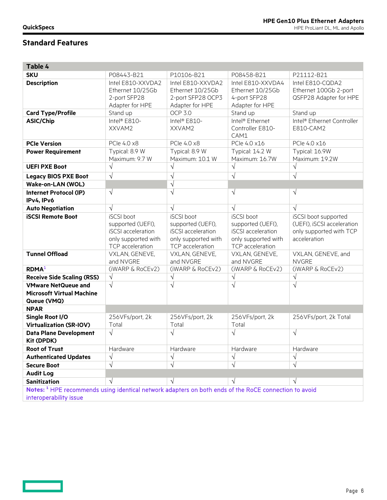<u>and</u>

| Table 4                                                                                                          |                     |                     |                             |                            |
|------------------------------------------------------------------------------------------------------------------|---------------------|---------------------|-----------------------------|----------------------------|
| <b>SKU</b>                                                                                                       | P08443-B21          | P10106-B21          | P08458-B21                  | P21112-B21                 |
| <b>Description</b>                                                                                               | Intel E810-XXVDA2   | Intel E810-XXVDA2   | Intel E810-XXVDA4           | Intel E810-CQDA2           |
|                                                                                                                  | Ethernet 10/25Gb    | Ethernet 10/25Gb    | Ethernet 10/25Gb            | Ethernet 100Gb 2-port      |
|                                                                                                                  | 2-port SFP28        | 2-port SFP28 OCP3   | 4-port SFP28                | QSFP28 Adapter for HPE     |
|                                                                                                                  | Adapter for HPE     | Adapter for HPE     | Adapter for HPE             |                            |
| <b>Card Type/Profile</b>                                                                                         | Stand up            | <b>OCP 3.0</b>      | Stand up                    | Stand up                   |
| <b>ASIC/Chip</b>                                                                                                 | Intel® E810-        | Intel® E810-        | Intel <sup>®</sup> Ethernet | Intel® Ethernet Controller |
|                                                                                                                  | XXVAM2              | XXVAM2              | Controller E810-            | E810-CAM2                  |
|                                                                                                                  |                     |                     | CAM1                        |                            |
| <b>PCIe Version</b>                                                                                              | PCle 4.0 x8         | PCIe 4.0 x8         | PCIe 4.0 x16                | PCle 4.0 x16               |
| <b>Power Requirement</b>                                                                                         | Typical: 8.9 W      | Typical: 8.9 W      | Typical: 14.2 W             | Typical: 16.9W             |
|                                                                                                                  | Maximum: 9.7 W      | Maximum: 10.1 W     | Maximum: 16.7W              | Maximum: 19.2W             |
| <b>UEFI PXE Boot</b>                                                                                             | $\sqrt{}$           | $\sqrt{ }$          | $\sqrt{}$                   | $\sqrt{ }$                 |
| <b>Legacy BIOS PXE Boot</b>                                                                                      | $\sqrt{ }$          | $\sqrt{ }$          | $\sqrt{}$                   | $\sqrt{ }$                 |
| Wake-on-LAN (WOL)                                                                                                |                     | $\sqrt{ }$          |                             |                            |
| <b>Internet Protocol (IP)</b>                                                                                    | $\sqrt{ }$          | $\sqrt{ }$          | $\sqrt{}$                   | $\sqrt{}$                  |
| IPv4, IPv6                                                                                                       |                     |                     |                             |                            |
| <b>Auto Negotiation</b>                                                                                          | $\sqrt{ }$          | $\sqrt{ }$          | $\sqrt{ }$                  | $\sqrt{ }$                 |
| <b>iSCSI Remote Boot</b>                                                                                         | iSCSI boot          | <b>iSCSI</b> boot   | iSCSI boot                  | iSCSI boot supported       |
|                                                                                                                  | supported (UEFI),   | supported (UEFI),   | supported (UEFI),           | (UEFI), iSCSI acceleration |
|                                                                                                                  | iSCSI acceleration  | iSCSI acceleration  | iSCSI acceleration          | only supported with TCP    |
|                                                                                                                  | only supported with | only supported with | only supported with         | acceleration               |
|                                                                                                                  | TCP acceleration    | TCP acceleration    | TCP acceleration            |                            |
| <b>Tunnel Offload</b>                                                                                            | VXLAN, GENEVE,      | VXLAN, GENEVE,      | VXLAN, GENEVE,              | VXLAN, GENEVE, and         |
|                                                                                                                  | and NVGRE           | and NVGRE           | and NVGRE                   | <b>NVGRE</b>               |
| R <sup>1</sup>                                                                                                   | (iWARP & RoCEv2)    | (iWARP & RoCEv2)    | (iWARP & RoCEv2)            | (iWARP & RoCEv2)           |
| <b>Receive Side Scaling (RSS)</b>                                                                                | $\sqrt{ }$          | $\sqrt{}$           | $\sqrt{}$                   | $\sqrt{}$                  |
| <b>VMware NetQueue and</b>                                                                                       | $\sqrt{ }$          | $\sqrt{ }$          | $\sqrt{ }$                  | $\sqrt{ }$                 |
| <b>Microsoft Virtual Machine</b>                                                                                 |                     |                     |                             |                            |
| Queue (VMQ)                                                                                                      |                     |                     |                             |                            |
| <b>NPAR</b>                                                                                                      |                     |                     |                             |                            |
| Single Root I/O                                                                                                  | 256VFs/port, 2k     | 256VFs/port, 2k     | 256VFs/port, 2k             | 256VFs/port, 2k Total      |
| <b>Virtualization (SR-IOV)</b>                                                                                   | Total               | Total               | Total                       |                            |
| <b>Data Plane Development</b>                                                                                    | $\sqrt{ }$          | $\sqrt{ }$          | $\sqrt{}$                   | $\sqrt{}$                  |
| <b>Kit (DPDK)</b>                                                                                                |                     |                     |                             |                            |
| <b>Root of Trust</b>                                                                                             | Hardware            | Hardware            | Hardware                    | Hardware                   |
| <b>Authenticated Updates</b>                                                                                     | V                   | V                   | V                           |                            |
| <b>Secure Boot</b>                                                                                               | $\sqrt{}$           |                     | $\sqrt{}$                   |                            |
| <b>Audit Log</b>                                                                                                 |                     |                     |                             |                            |
| <b>Sanitization</b>                                                                                              | $\sqrt{}$           | $\sqrt{ }$          | $\sqrt{}$                   | $\sqrt{}$                  |
| Notes: <sup>1</sup> HPE recommends using identical network adapters on both ends of the RoCE connection to avoid |                     |                     |                             |                            |
| interoperability issue                                                                                           |                     |                     |                             |                            |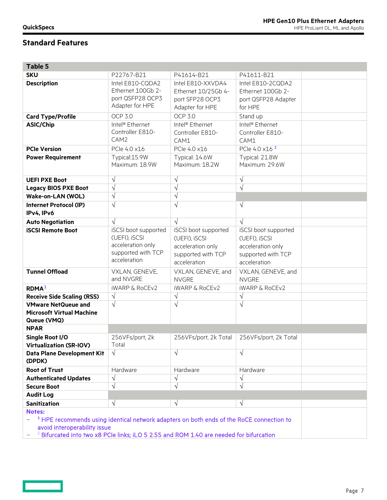**Contract Contract** 

| Table 5                                                                                                                                                                                                                                                    |                                                                                                  |                                                                                                  |                                                                                                  |  |
|------------------------------------------------------------------------------------------------------------------------------------------------------------------------------------------------------------------------------------------------------------|--------------------------------------------------------------------------------------------------|--------------------------------------------------------------------------------------------------|--------------------------------------------------------------------------------------------------|--|
| <b>SKU</b>                                                                                                                                                                                                                                                 | P22767-B21                                                                                       | P41614-B21                                                                                       | P41611-B21                                                                                       |  |
| <b>Description</b>                                                                                                                                                                                                                                         | Intel E810-CQDA2<br>Ethernet 100Gb 2-<br>port QSFP28 OCP3<br>Adapter for HPE                     | Intel E810-XXVDA4<br>Ethernet 10/25Gb 4-<br>port SFP28 OCP3<br>Adapter for HPE                   | Intel E810-2CQDA2<br>Ethernet 100Gb 2-<br>port QSFP28 Adapter<br>for HPE                         |  |
| <b>Card Type/Profile</b>                                                                                                                                                                                                                                   | <b>OCP 3.0</b>                                                                                   | OCP 3.0                                                                                          | Stand up                                                                                         |  |
| <b>ASIC/Chip</b>                                                                                                                                                                                                                                           | Intel <sup>®</sup> Ethernet<br>Controller E810-<br>CAM <sub>2</sub>                              | Intel <sup>®</sup> Ethernet<br>Controller E810-<br>CAM1                                          | Intel <sup>®</sup> Ethernet<br>Controller E810-<br>CAM1                                          |  |
| <b>PCIe Version</b>                                                                                                                                                                                                                                        | PCIe 4.0 x16                                                                                     | PCIe 4.0 x16                                                                                     | PCIe 4.0 x16 <sup>2</sup>                                                                        |  |
| <b>Power Requirement</b>                                                                                                                                                                                                                                   | Typical:15.9W<br>Maximum: 18.9W                                                                  | Typical: 14.6W<br>Maximum: 18.2W                                                                 | Typical: 21.8W<br>Maximum: 29.6W                                                                 |  |
| <b>UEFI PXE Boot</b>                                                                                                                                                                                                                                       | $\sqrt{}$                                                                                        | $\sqrt{}$                                                                                        | $\sqrt{ }$                                                                                       |  |
| <b>Legacy BIOS PXE Boot</b>                                                                                                                                                                                                                                | $\sqrt{}$                                                                                        | $\sqrt{ }$                                                                                       | $\sqrt{2}$                                                                                       |  |
| Wake-on-LAN (WOL)                                                                                                                                                                                                                                          | $\sqrt{}$                                                                                        | $\sqrt{}$                                                                                        |                                                                                                  |  |
| <b>Internet Protocol (IP)</b><br>IPv4, IPv6                                                                                                                                                                                                                | $\sqrt{}$                                                                                        | $\sqrt{}$                                                                                        | $\sqrt{ }$                                                                                       |  |
| <b>Auto Negotiation</b>                                                                                                                                                                                                                                    | $\sqrt{}$                                                                                        | $\sqrt{ }$                                                                                       | $\sqrt{ }$                                                                                       |  |
| <b>iSCSI Remote Boot</b>                                                                                                                                                                                                                                   | iSCSI boot supported<br>(UEFI), iSCSI<br>acceleration only<br>supported with TCP<br>acceleration | iSCSI boot supported<br>(UEFI), iSCSI<br>acceleration only<br>supported with TCP<br>acceleration | iSCSI boot supported<br>(UEFI), iSCSI<br>acceleration only<br>supported with TCP<br>acceleration |  |
| <b>Tunnel Offload</b>                                                                                                                                                                                                                                      | VXLAN, GENEVE,<br>and NVGRE                                                                      | VXLAN, GENEVE, and<br><b>NVGRE</b>                                                               | VXLAN, GENEVE, and<br><b>NVGRE</b>                                                               |  |
| RDMA <sup>1</sup>                                                                                                                                                                                                                                          | <b>iWARP &amp; RoCEv2</b>                                                                        | <b>iWARP &amp; RoCEv2</b>                                                                        | <b>iWARP &amp; RoCEv2</b>                                                                        |  |
| <b>Receive Side Scaling (RSS)</b>                                                                                                                                                                                                                          | $\sqrt{}$                                                                                        | $\sqrt{}$                                                                                        | $\sqrt{}$                                                                                        |  |
| <b>VMware NetQueue and</b><br><b>Microsoft Virtual Machine</b><br>Queue (VMQ)                                                                                                                                                                              | $\sqrt{}$                                                                                        | $\sqrt{ }$                                                                                       | $\sqrt{ }$                                                                                       |  |
| <b>NPAR</b>                                                                                                                                                                                                                                                |                                                                                                  |                                                                                                  |                                                                                                  |  |
| <b>Single Root I/O</b><br>Virtualization (SR-IOV)                                                                                                                                                                                                          | 256VFs/port, 2k<br>Total                                                                         | 256VFs/port, 2k Total                                                                            | 256VFs/port, 2k Total                                                                            |  |
| Data Plane Development Kit<br>(DPDK)                                                                                                                                                                                                                       | $\sqrt{ }$                                                                                       | $\sqrt{}$                                                                                        | $\sqrt{ }$                                                                                       |  |
| <b>Root of Trust</b>                                                                                                                                                                                                                                       | Hardware                                                                                         | Hardware                                                                                         | Hardware                                                                                         |  |
| <b>Authenticated Updates</b>                                                                                                                                                                                                                               | $\sqrt{}$                                                                                        | $\sqrt{}$                                                                                        | $\sqrt{}$                                                                                        |  |
| <b>Secure Boot</b>                                                                                                                                                                                                                                         | $\sqrt{}$                                                                                        | $\sqrt{ }$                                                                                       | $\sqrt{ }$                                                                                       |  |
| <b>Audit Log</b>                                                                                                                                                                                                                                           |                                                                                                  |                                                                                                  |                                                                                                  |  |
| <b>Sanitization</b>                                                                                                                                                                                                                                        | $\sqrt{}$                                                                                        | $\sqrt{ }$                                                                                       | $\sqrt{ }$                                                                                       |  |
| <b>Notes:</b><br><sup>1</sup> HPE recommends using identical network adapters on both ends of the RoCE connection to<br>avoid interoperability issue<br><sup>2</sup> Bifurcated into two x8 PCIe links; iLO 5 2.55 and ROM 1.40 are needed for bifurcation |                                                                                                  |                                                                                                  |                                                                                                  |  |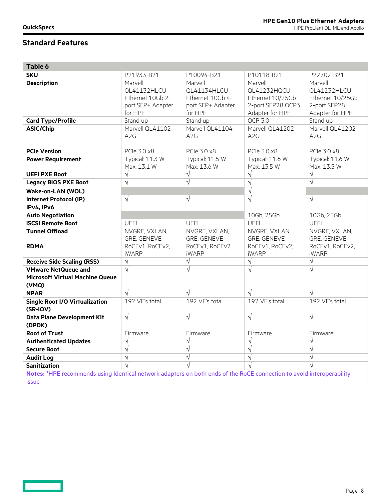| Table 6                                                                                                                           |                                                                            |                                                                            |                                                                                    |                                                                               |
|-----------------------------------------------------------------------------------------------------------------------------------|----------------------------------------------------------------------------|----------------------------------------------------------------------------|------------------------------------------------------------------------------------|-------------------------------------------------------------------------------|
| <b>SKU</b>                                                                                                                        | P21933-B21                                                                 | P10094-B21                                                                 | P10118-B21                                                                         | P22702-B21                                                                    |
| <b>Description</b>                                                                                                                | Marvell<br>QL41132HLCU<br>Ethernet 10Gb 2-<br>port SFP+ Adapter<br>for HPE | Marvell<br>QL41134HLCU<br>Ethernet 10Gb 4-<br>port SFP+ Adapter<br>for HPE | Marvell<br>QL41232HQCU<br>Ethernet 10/25Gb<br>2-port SFP28 OCP3<br>Adapter for HPE | Marvell<br>QL41232HLCU<br>Ethernet 10/25Gb<br>2-port SFP28<br>Adapter for HPE |
| <b>Card Type/Profile</b>                                                                                                          | Stand up                                                                   | Stand up                                                                   | <b>OCP 3.0</b>                                                                     | Stand up                                                                      |
| <b>ASIC/Chip</b>                                                                                                                  | Marvell QL41102-<br>A <sub>2</sub> G                                       | Marvell QL41104-<br>A <sub>2</sub> G                                       | Marvell QL41202-<br>A2G                                                            | Marvell QL41202-<br>A <sub>2</sub> G                                          |
| <b>PCIe Version</b>                                                                                                               | PCle 3.0 x8                                                                | PCle 3.0 x8                                                                | PCle 3.0 x8                                                                        | PCle 3.0 x8                                                                   |
| <b>Power Requirement</b>                                                                                                          | Typical: 11.3 W<br>Max: 13.1 W                                             | Typical: 11.5 W<br>Max: 13.6 W                                             | Typical: 11.6 W<br>Max: 13.5 W                                                     | Typical: 11.6 W<br>Max: 13.5 W                                                |
| <b>UEFI PXE Boot</b>                                                                                                              | $\sqrt{ }$                                                                 | $\sqrt{ }$                                                                 | $\sqrt{}$                                                                          | $\sqrt{ }$                                                                    |
| <b>Legacy BIOS PXE Boot</b>                                                                                                       | $\overline{\sqrt{} }$                                                      | $\sqrt{}$                                                                  | $\overline{\sqrt{} }$                                                              | $\sqrt{}$                                                                     |
| Wake-on-LAN (WOL)                                                                                                                 |                                                                            |                                                                            | $\overline{\sqrt{} }$                                                              |                                                                               |
| <b>Internet Protocol (IP)</b><br>IPv4, IPv6                                                                                       | $\sqrt{}$                                                                  | $\sqrt{}$                                                                  | $\sqrt{}$                                                                          | $\sqrt{}$                                                                     |
| <b>Auto Negotiation</b>                                                                                                           |                                                                            |                                                                            | 10Gb, 25Gb                                                                         | 10Gb, 25Gb                                                                    |
| <b>iSCSI Remote Boot</b>                                                                                                          | <b>UEFI</b>                                                                | UEFI                                                                       | <b>UEFI</b>                                                                        | <b>UEFI</b>                                                                   |
| <b>Tunnel Offload</b>                                                                                                             | NVGRE, VXLAN,<br>GRE, GENEVE                                               | NVGRE, VXLAN,<br>GRE, GENEVE                                               | NVGRE, VXLAN,<br>GRE, GENEVE                                                       | NVGRE, VXLAN,<br>GRE, GENEVE                                                  |
| R <sup>1</sup>                                                                                                                    | RoCEv1, RoCEv2,<br><b>iWARP</b>                                            | RoCEv1, RoCEv2,<br><b>iWARP</b>                                            | RoCEv1, RoCEv2,<br><b>iWARP</b>                                                    | RoCEv1, RoCEv2,<br><b>iWARP</b>                                               |
| <b>Receive Side Scaling (RSS)</b>                                                                                                 | $\sqrt{ }$                                                                 | $\sqrt{ }$                                                                 | $\sqrt{ }$                                                                         | $\sqrt{ }$                                                                    |
| <b>VMware NetQueue and</b><br><b>Microsoft Virtual Machine Queue</b><br>(VMQ)                                                     | $\sqrt{ }$                                                                 | $\sqrt{ }$                                                                 | $\sqrt{}$                                                                          | $\sqrt{ }$                                                                    |
| <b>NPAR</b>                                                                                                                       | $\sqrt{ }$                                                                 | $\sqrt{ }$                                                                 | $\sqrt{ }$                                                                         | $\sqrt{ }$                                                                    |
| <b>Single Root I/O Virtualization</b><br>(SR-IOV)                                                                                 | 192 VF's total                                                             | 192 VF's total                                                             | 192 VF's total                                                                     | 192 VF's total                                                                |
| Data Plane Development Kit<br>(DPDK)                                                                                              | $\sqrt{ }$                                                                 | $\sqrt{ }$                                                                 | $\sqrt{}$                                                                          | $\sqrt{ }$                                                                    |
| <b>Root of Trust</b>                                                                                                              | Firmware                                                                   | Firmware                                                                   | Firmware                                                                           | Firmware                                                                      |
| <b>Authenticated Updates</b>                                                                                                      | $\sqrt{}$                                                                  | $\sqrt{ }$                                                                 | $\sqrt{}$                                                                          | $\sqrt{}$                                                                     |
| <b>Secure Boot</b>                                                                                                                | $\sqrt{ }$                                                                 | $\sqrt{ }$                                                                 | $\sqrt{ }$                                                                         | $\sqrt{ }$                                                                    |
| <b>Audit Log</b>                                                                                                                  | $\sqrt{ }$                                                                 | $\sqrt{ }$                                                                 | $\sqrt{}$                                                                          | $\sqrt{ }$                                                                    |
| <b>Sanitization</b>                                                                                                               |                                                                            | $\overline{\sqrt{2}}$                                                      |                                                                                    |                                                                               |
| Notes: <sup>1</sup> HPE recommends using Identical network adapters on both ends of the RoCE connection to avoid interoperability |                                                                            |                                                                            |                                                                                    |                                                                               |

issue

**Contract Contract**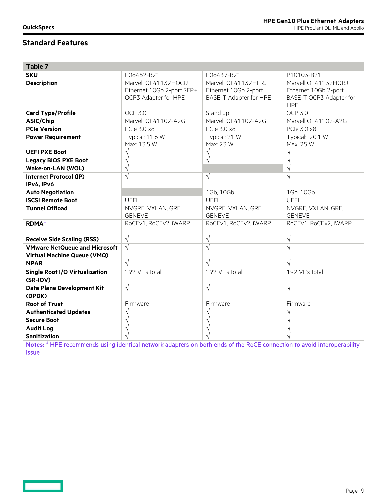<u>and</u>

| Table 7                                                                                                                                           |                                                                          |                                                                       |                                                                                      |
|---------------------------------------------------------------------------------------------------------------------------------------------------|--------------------------------------------------------------------------|-----------------------------------------------------------------------|--------------------------------------------------------------------------------------|
| <b>SKU</b>                                                                                                                                        | P08452-B21                                                               | P08437-B21                                                            | P10103-B21                                                                           |
| <b>Description</b>                                                                                                                                | Marvell QL41132HQCU<br>Ethernet 10Gb 2-port SFP+<br>OCP3 Adapter for HPE | Marvell QL41132HLRJ<br>Ethernet 10Gb 2-port<br>BASE-T Adapter for HPE | Marvell QL41132HQRJ<br>Ethernet 10Gb 2-port<br>BASE-T OCP3 Adapter for<br><b>HPE</b> |
| <b>Card Type/Profile</b>                                                                                                                          | <b>OCP 3.0</b>                                                           | Stand up                                                              | <b>OCP 3.0</b>                                                                       |
| <b>ASIC/Chip</b>                                                                                                                                  | Marvell QL41102-A2G                                                      | Marvell QL41102-A2G                                                   | Marvell QL41102-A2G                                                                  |
| <b>PCIe Version</b>                                                                                                                               | PCle 3.0 x8                                                              | PCle 3.0 x8                                                           | PCle 3.0 x8                                                                          |
| <b>Power Requirement</b>                                                                                                                          | Typical: 11.6 W<br>Max: 13.5 W                                           | Typical: 21 W<br>Max: 23 W                                            | Typical: 20.1 W<br>Max: 25 W                                                         |
| <b>UEFI PXE Boot</b>                                                                                                                              | $\sqrt{ }$                                                               | $\sqrt{ }$                                                            | $\sqrt{}$                                                                            |
| <b>Legacy BIOS PXE Boot</b>                                                                                                                       | $\sqrt{ }$                                                               | $\sqrt{}$                                                             | $\sqrt{}$                                                                            |
| <b>Wake-on-LAN (WOL)</b>                                                                                                                          | $\sqrt{}$                                                                |                                                                       | $\overline{\sqrt{2}}$                                                                |
| <b>Internet Protocol (IP)</b><br>IPv4, IPv6                                                                                                       | $\sqrt{ }$                                                               | $\sqrt{ }$                                                            | $\sqrt{}$                                                                            |
| <b>Auto Negotiation</b>                                                                                                                           |                                                                          | 1Gb, 10Gb                                                             | 1Gb, 10Gb                                                                            |
| <b>iSCSI Remote Boot</b>                                                                                                                          | <b>UEFI</b>                                                              | <b>UEFI</b>                                                           | <b>UEFI</b>                                                                          |
| <b>Tunnel Offload</b>                                                                                                                             | NVGRE, VXLAN, GRE,<br><b>GENEVE</b>                                      | NVGRE, VXLAN, GRE,<br><b>GENEVE</b>                                   | NVGRE, VXLAN, GRE,<br><b>GENEVE</b>                                                  |
| <b>RDMA</b> <sup>1</sup>                                                                                                                          | RoCEv1, RoCEv2, iWARP                                                    | RoCEv1, RoCEv2, iWARP                                                 | RoCEv1, RoCEv2, iWARP                                                                |
| <b>Receive Side Scaling (RSS)</b>                                                                                                                 | $\sqrt{ }$                                                               | $\sqrt{ }$                                                            | $\sqrt{}$                                                                            |
| <b>VMware NetQueue and Microsoft</b><br><b>Virtual Machine Queue (VMQ)</b>                                                                        | $\sqrt{ }$                                                               | $\sqrt{ }$                                                            | $\sqrt{}$                                                                            |
| <b>NPAR</b>                                                                                                                                       | $\sqrt{ }$                                                               | $\sqrt{ }$                                                            | $\sqrt{ }$                                                                           |
| <b>Single Root I/O Virtualization</b><br>(SR-IOV)                                                                                                 | 192 VF's total                                                           | 192 VF's total                                                        | 192 VF's total                                                                       |
| Data Plane Development Kit<br>(DPDK)                                                                                                              | $\sqrt{ }$                                                               | $\sqrt{}$                                                             | $\sqrt{}$                                                                            |
| <b>Root of Trust</b>                                                                                                                              | Firmware                                                                 | Firmware                                                              | Firmware                                                                             |
| <b>Authenticated Updates</b>                                                                                                                      | $\sqrt{}$                                                                | $\sqrt{}$                                                             | $\sqrt{}$                                                                            |
| <b>Secure Boot</b>                                                                                                                                | $\sqrt{ }$                                                               | $\sqrt{}$                                                             | $\sqrt{}$                                                                            |
| <b>Audit Log</b>                                                                                                                                  | $\sqrt{}$                                                                | $\sqrt{}$                                                             | $\sqrt{}$                                                                            |
| <b>Sanitization</b>                                                                                                                               | $\overline{\sqrt{2}}$                                                    |                                                                       |                                                                                      |
| Notes: <sup>1</sup> HPE recommends using identical network adapters on both ends of the RoCE connection to avoid interoperability<br><i>issue</i> |                                                                          |                                                                       |                                                                                      |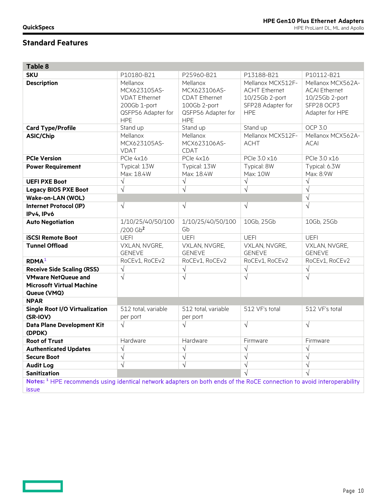**Contract** 

| <b>Table 8</b>                                                                                                                    |                                                                                                      |                                                                                                      |                                                                                                |                                                                                              |
|-----------------------------------------------------------------------------------------------------------------------------------|------------------------------------------------------------------------------------------------------|------------------------------------------------------------------------------------------------------|------------------------------------------------------------------------------------------------|----------------------------------------------------------------------------------------------|
| <b>SKU</b>                                                                                                                        | P10180-B21                                                                                           | P25960-B21                                                                                           | P13188-B21                                                                                     | P10112-B21                                                                                   |
| <b>Description</b>                                                                                                                | Mellanox<br>MCX623105AS-<br><b>VDAT Ethernet</b><br>200Gb 1-port<br>QSFP56 Adapter for<br><b>HPE</b> | Mellanox<br>MCX623106AS-<br><b>CDAT Ethernet</b><br>100Gb 2-port<br>QSFP56 Adapter for<br><b>HPE</b> | Mellanox MCX512F-<br><b>ACHT Ethernet</b><br>10/25Gb 2-port<br>SFP28 Adapter for<br><b>HPE</b> | Mellanox MCX562A-<br><b>ACAI Ethernet</b><br>10/25Gb 2-port<br>SFP28 OCP3<br>Adapter for HPE |
| <b>Card Type/Profile</b>                                                                                                          | Stand up                                                                                             | Stand up                                                                                             | Stand up                                                                                       | <b>OCP 3.0</b>                                                                               |
| <b>ASIC/Chip</b>                                                                                                                  | Mellanox<br>MCX623105AS-<br><b>VDAT</b>                                                              | Mellanox<br>MCX623106AS-<br><b>CDAT</b>                                                              | Mellanox MCX512F-<br><b>ACHT</b>                                                               | Mellanox MCX562A-<br><b>ACAI</b>                                                             |
| <b>PCIe Version</b>                                                                                                               | PCle 4x16                                                                                            | PCIe 4x16                                                                                            | PCle 3.0 x16                                                                                   | PCle 3.0 x16                                                                                 |
| <b>Power Requirement</b>                                                                                                          | Typical: 13W<br>Max: 18.4W                                                                           | Typical: 13W<br>Max: 18.4W                                                                           | Typical: 8W<br>Max: 10W                                                                        | Typical: 6.3W<br>Max: 8.9W                                                                   |
| <b>UEFI PXE Boot</b>                                                                                                              | $\sqrt{}$                                                                                            | $\sqrt{ }$                                                                                           | $\sqrt{ }$                                                                                     | $\sqrt{ }$                                                                                   |
| <b>Legacy BIOS PXE Boot</b>                                                                                                       | $\sqrt{ }$                                                                                           | $\sqrt{2}$                                                                                           | $\sqrt{2}$                                                                                     | $\sqrt{ }$                                                                                   |
| Wake-on-LAN (WOL)                                                                                                                 |                                                                                                      |                                                                                                      |                                                                                                | $\sqrt{}$                                                                                    |
| <b>Internet Protocol (IP)</b><br>IPv4, IPv6                                                                                       | $\sqrt{ }$                                                                                           | $\sqrt{}$                                                                                            | $\sqrt{ }$                                                                                     | $\sqrt{ }$                                                                                   |
| <b>Auto Negotiation</b>                                                                                                           | 1/10/25/40/50/100<br>$/200$ Gb <sup>2</sup>                                                          | 1/10/25/40/50/100<br>Gb                                                                              | 10Gb, 25Gb                                                                                     | 10Gb, 25Gb                                                                                   |
| <b>iSCSI Remote Boot</b>                                                                                                          | <b>UEFI</b>                                                                                          | <b>UEFI</b>                                                                                          | <b>UEFI</b>                                                                                    | <b>UEFI</b>                                                                                  |
| <b>Tunnel Offload</b>                                                                                                             | VXLAN, NVGRE,<br><b>GENEVE</b>                                                                       | VXLAN, NVGRE,<br><b>GENEVE</b>                                                                       | VXLAN, NVGRE,<br><b>GENEVE</b>                                                                 | VXLAN, NVGRE,<br><b>GENEVE</b>                                                               |
| R <sup>1</sup>                                                                                                                    | RoCEv1, RoCEv2                                                                                       | RoCEv1, RoCEv2                                                                                       | RoCEv1, RoCEv2                                                                                 | RoCEv1, RoCEv2                                                                               |
| <b>Receive Side Scaling (RSS)</b>                                                                                                 | $\sqrt{}$                                                                                            | $\sqrt{}$                                                                                            | $\sqrt{}$                                                                                      | $\sqrt{}$                                                                                    |
| <b>VMware NetQueue and</b><br><b>Microsoft Virtual Machine</b><br>Queue (VMQ)                                                     | $\sqrt{}$                                                                                            | $\sqrt{}$                                                                                            | $\sqrt{}$                                                                                      | $\sqrt{}$                                                                                    |
| <b>NPAR</b>                                                                                                                       |                                                                                                      |                                                                                                      |                                                                                                |                                                                                              |
| <b>Single Root I/O Virtualization</b><br>(SR-IOV)                                                                                 | 512 total, variable<br>per port                                                                      | 512 total, variable<br>per port                                                                      | 512 VF's total                                                                                 | 512 VF's total                                                                               |
| Data Plane Development Kit<br>(DPDK)                                                                                              | $\sqrt{ }$                                                                                           | $\sqrt{ }$                                                                                           | $\sqrt{ }$                                                                                     | $\sqrt{ }$                                                                                   |
| <b>Root of Trust</b>                                                                                                              | Hardware                                                                                             | Hardware                                                                                             | Firmware                                                                                       | Firmware                                                                                     |
| <b>Authenticated Updates</b>                                                                                                      | $\sqrt{}$                                                                                            | $\sqrt{ }$                                                                                           | $\sqrt{ }$                                                                                     | $\sqrt{ }$                                                                                   |
| <b>Secure Boot</b>                                                                                                                | $\sqrt{}$                                                                                            | $\sqrt{}$                                                                                            | $\sqrt{ }$                                                                                     | $\sqrt{ }$                                                                                   |
| <b>Audit Log</b>                                                                                                                  | $\sqrt{ }$                                                                                           | $\sqrt{ }$                                                                                           | $\sqrt{ }$                                                                                     | $\sqrt{2}$                                                                                   |
| <b>Sanitization</b>                                                                                                               |                                                                                                      |                                                                                                      |                                                                                                | $\sqrt{ }$                                                                                   |
| Notes: <sup>1</sup> HPE recommends using identical network adapters on both ends of the RoCE connection to avoid interoperability |                                                                                                      |                                                                                                      |                                                                                                |                                                                                              |
| <b>issue</b>                                                                                                                      |                                                                                                      |                                                                                                      |                                                                                                |                                                                                              |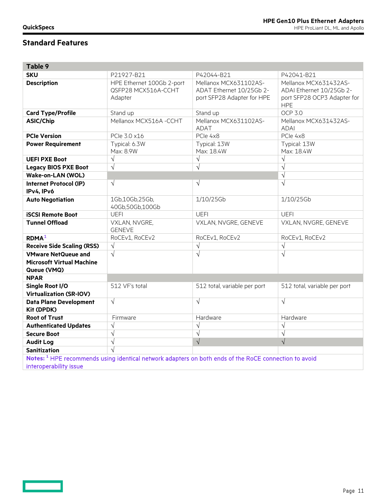| Table 9                                                                       |                                                             |                                                                                                                  |                                                                                                |
|-------------------------------------------------------------------------------|-------------------------------------------------------------|------------------------------------------------------------------------------------------------------------------|------------------------------------------------------------------------------------------------|
| <b>SKU</b>                                                                    | P21927-B21                                                  | P42044-B21                                                                                                       | P42041-B21                                                                                     |
| <b>Description</b>                                                            | HPE Ethernet 100Gb 2-port<br>QSFP28 MCX516A-CCHT<br>Adapter | Mellanox MCX631102AS-<br>ADAT Ethernet 10/25Gb 2-<br>port SFP28 Adapter for HPE                                  | Mellanox MCX631432AS-<br>ADAI Ethernet 10/25Gb 2-<br>port SFP28 OCP3 Adapter for<br><b>HPE</b> |
| <b>Card Type/Profile</b>                                                      | Stand up                                                    | Stand up                                                                                                         | OCP 3.0                                                                                        |
| <b>ASIC/Chip</b>                                                              | Mellanox MCX516A -CCHT                                      | Mellanox MCX631102AS-<br>ADAT                                                                                    | Mellanox MCX631432AS-<br><b>ADAI</b>                                                           |
| <b>PCIe Version</b>                                                           | PCIe 3.0 x16                                                | PCle 4x8                                                                                                         | PCle 4x8                                                                                       |
| <b>Power Requirement</b>                                                      | Typical: 6.3W<br>Max: 8.9W                                  | Typical: 13W<br>Max: 18.4W                                                                                       | Typical: 13W<br>Max: 18.4W                                                                     |
| <b>UEFI PXE Boot</b>                                                          | $\sqrt{}$                                                   | $\sqrt{}$                                                                                                        | $\sqrt{}$                                                                                      |
| <b>Legacy BIOS PXE Boot</b>                                                   | $\sqrt{}$                                                   | $\sqrt{ }$                                                                                                       | $\sqrt{}$                                                                                      |
| <b>Wake-on-LAN (WOL)</b>                                                      |                                                             |                                                                                                                  | $\overline{\sqrt{2}}$                                                                          |
| <b>Internet Protocol (IP)</b><br>IPv4, IPv6                                   | $\sqrt{ }$                                                  | $\sqrt{ }$                                                                                                       | $\sqrt{}$                                                                                      |
| <b>Auto Negotiation</b>                                                       | 1Gb,10Gb,25Gb,<br>40Gb,50Gb,100Gb                           | 1/10/25Gb                                                                                                        | 1/10/25Gb                                                                                      |
| <b>iSCSI Remote Boot</b>                                                      | <b>UEFI</b>                                                 | <b>UEFI</b>                                                                                                      | <b>UEFI</b>                                                                                    |
| <b>Tunnel Offload</b>                                                         | VXLAN, NVGRE,<br><b>GENEVE</b>                              | VXLAN, NVGRE, GENEVE                                                                                             | VXLAN, NVGRE, GENEVE                                                                           |
| RDMA <sup>1</sup>                                                             | RoCEv1, RoCEv2                                              | RoCEv1, RoCEv2                                                                                                   | RoCEv1, RoCEv2                                                                                 |
| <b>Receive Side Scaling (RSS)</b>                                             | $\sqrt{ }$                                                  | $\sqrt{}$                                                                                                        | $\sqrt{}$                                                                                      |
| <b>VMware NetQueue and</b><br><b>Microsoft Virtual Machine</b><br>Queue (VMQ) | $\sqrt{}$                                                   | $\sqrt{2}$                                                                                                       | $\sqrt{}$                                                                                      |
| <b>NPAR</b>                                                                   |                                                             |                                                                                                                  |                                                                                                |
| <b>Single Root I/O</b><br><b>Virtualization (SR-IOV)</b>                      | 512 VF's total                                              | 512 total, variable per port                                                                                     | 512 total, variable per port                                                                   |
| <b>Data Plane Development</b><br><b>Kit (DPDK)</b>                            | $\sqrt{ }$                                                  | $\sqrt{ }$                                                                                                       | $\sqrt{}$                                                                                      |
| <b>Root of Trust</b>                                                          | Firmware                                                    | Hardware                                                                                                         | Hardware                                                                                       |
| <b>Authenticated Updates</b>                                                  | $\sqrt{}$                                                   | $\sqrt{ }$                                                                                                       | $\sqrt{}$                                                                                      |
| <b>Secure Boot</b>                                                            | $\sqrt{ }$                                                  | $\sqrt{ }$                                                                                                       | $\sqrt{}$                                                                                      |
| <b>Audit Log</b>                                                              | $\sqrt{ }$                                                  | $\sqrt{ }$                                                                                                       | $\sqrt{}$                                                                                      |
| <b>Sanitization</b>                                                           |                                                             |                                                                                                                  |                                                                                                |
| interoperability issue                                                        |                                                             | Notes: <sup>1</sup> HPE recommends using identical network adapters on both ends of the RoCE connection to avoid |                                                                                                |

 $\overline{\phantom{0}}$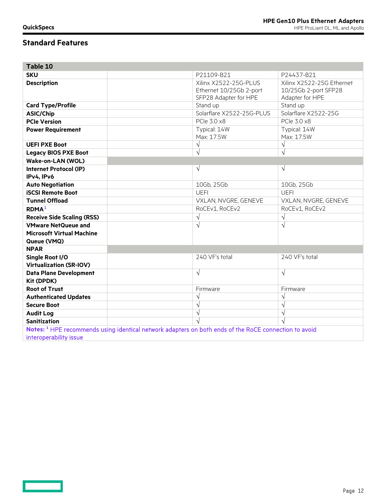**Contract Contract** 

| Table 10                                                                                                         |                                                  |                                                   |
|------------------------------------------------------------------------------------------------------------------|--------------------------------------------------|---------------------------------------------------|
| <b>SKU</b>                                                                                                       | P21109-B21                                       | P24437-B21                                        |
| <b>Description</b>                                                                                               | Xilinx X2522-25G-PLUS<br>Ethernet 10/25Gb 2-port | Xilinx X2522-25G Ethernet<br>10/25Gb 2-port SFP28 |
|                                                                                                                  | SFP28 Adapter for HPE                            | Adapter for HPE                                   |
| <b>Card Type/Profile</b>                                                                                         | Stand up                                         | Stand up                                          |
| <b>ASIC/Chip</b>                                                                                                 | Solarflare X2522-25G-PLUS                        | Solarflare X2522-25G                              |
| <b>PCIe Version</b>                                                                                              | PCle 3.0 x8                                      | PCle 3.0 x8                                       |
| <b>Power Requirement</b>                                                                                         | Typical: 14W                                     | Typical: 14W                                      |
|                                                                                                                  | Max: 17.5W                                       | Max: 17.5W                                        |
| <b>UEFI PXE Boot</b>                                                                                             | $\sqrt{}$                                        | $\sqrt{}$                                         |
| <b>Legacy BIOS PXE Boot</b>                                                                                      | $\sqrt{}$                                        | $\sqrt{}$                                         |
| <b>Wake-on-LAN (WOL)</b>                                                                                         |                                                  |                                                   |
| <b>Internet Protocol (IP)</b><br>IPv4, IPv6                                                                      | $\sqrt{}$                                        | $\sqrt{}$                                         |
| <b>Auto Negotiation</b>                                                                                          | 10Gb, 25Gb                                       | 10Gb, 25Gb                                        |
| <b>iSCSI Remote Boot</b>                                                                                         | <b>UEFI</b>                                      | <b>UEFI</b>                                       |
| <b>Tunnel Offload</b>                                                                                            | VXLAN, NVGRE, GENEVE                             | VXLAN, NVGRE, GENEVE                              |
| R <sup>1</sup>                                                                                                   | RoCEv1, RoCEv2                                   | RoCEv1, RoCEv2                                    |
| <b>Receive Side Scaling (RSS)</b>                                                                                | $\sqrt{}$                                        | $\sqrt{}$                                         |
| <b>VMware NetQueue and</b>                                                                                       | $\sqrt{}$                                        | $\sqrt{}$                                         |
| <b>Microsoft Virtual Machine</b>                                                                                 |                                                  |                                                   |
| Queue (VMQ)                                                                                                      |                                                  |                                                   |
| <b>NPAR</b>                                                                                                      |                                                  |                                                   |
| Single Root I/O<br><b>Virtualization (SR-IOV)</b>                                                                | 240 VF's total                                   | 240 VF's total                                    |
| <b>Data Plane Development</b><br><b>Kit (DPDK)</b>                                                               | $\sqrt{}$                                        | $\sqrt{}$                                         |
| <b>Root of Trust</b>                                                                                             | Firmware                                         | Firmware                                          |
| <b>Authenticated Updates</b>                                                                                     | $\sqrt{}$                                        | $\sqrt{}$                                         |
| <b>Secure Boot</b>                                                                                               | $\sqrt{}$                                        | $\sqrt{}$                                         |
| <b>Audit Log</b>                                                                                                 | $\sqrt{}$                                        | $\sqrt{}$                                         |
| <b>Sanitization</b>                                                                                              |                                                  |                                                   |
| Notes: <sup>1</sup> HPE recommends using identical network adapters on both ends of the RoCE connection to avoid |                                                  |                                                   |
| interoperability issue                                                                                           |                                                  |                                                   |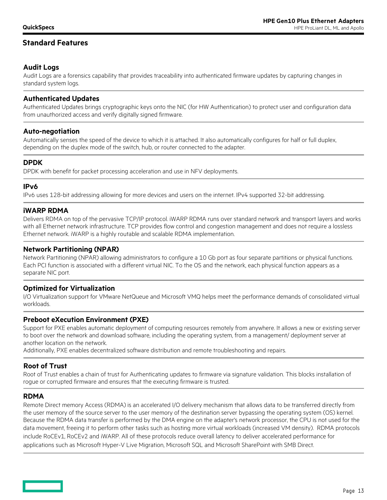Audit Logs are a forensics capability that provides traceability into authenticated firmware updates by capturing changes in standard system logs.

## **Authenticated Updates**

Authenticated Updates brings cryptographic keys onto the NIC (for HW Authentication) to protect user and configuration data from unauthorized access and verify digitally signed firmware.

### **Auto-negotiation**

Automatically senses the speed of the device to which it is attached. It also automatically configures for half or full duplex, depending on the duplex mode of the switch, hub, or router connected to the adapter.

### **DPDK**

DPDK with benefit for packet processing acceleration and use in NFV deployments.

#### **IPv6**

IPv6 uses 128-bit addressing allowing for more devices and users on the internet. IPv4 supported 32-bit addressing.

### **iWARP RDMA**

Delivers RDMA on top of the pervasive TCP/IP protocol. iWARP RDMA runs over standard network and transport layers and works with all Ethernet network infrastructure. TCP provides flow control and congestion management and does not require a lossless Ethernet network. iWARP is a highly routable and scalable RDMA implementation.

#### **Network Partitioning (NPAR)**

Network Partitioning (NPAR) allowing administrators to configure a 10 Gb port as four separate partitions or physical functions. Each PCI function is associated with a different virtual NIC. To the OS and the network, each physical function appears as a separate NIC port.

### **Optimized for Virtualization**

I/O Virtualization support for VMware NetQueue and Microsoft VMQ helps meet the performance demands of consolidated virtual workloads.

#### **Preboot eXecution Environment (PXE)**

Support for PXE enables automatic deployment of computing resources remotely from anywhere. It allows a new or existing server to boot over the network and download software, including the operating system, from a management/ deployment server at another location on the network.

Additionally, PXE enables decentralized software distribution and remote troubleshooting and repairs.

### **Root of Trust**

Root of Trust enables a chain of trust for Authenticating updates to firmware via signature validation. This blocks installation of rogue or corrupted firmware and ensures that the executing firmware is trusted.

#### **RDMA**

Remote Direct memory Access (RDMA) is an accelerated I/O delivery mechanism that allows data to be transferred directly from the user memory of the source server to the user memory of the destination server bypassing the operating system (OS) kernel. Because the RDMA data transfer is performed by the DMA engine on the adapter's network processor, the CPU is not used for the data movement, freeing it to perform other tasks such as hosting more virtual workloads (increased VM density). RDMA protocols include RoCEv1, RoCEv2 and iWARP. All of these protocols reduce overall latency to deliver accelerated performance for applications such as Microsoft Hyper-V Live Migration, Microsoft SQL and Microsoft SharePoint with SMB Direct.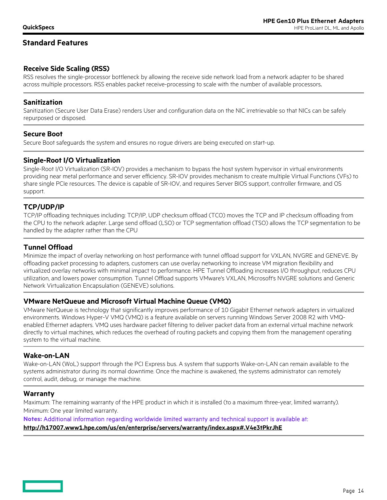## **Receive Side Scaling (RSS)**

RSS resolves the single-processor bottleneck by allowing the receive side network load from a network adapter to be shared across multiple processors. RSS enables packet receive-processing to scale with the number of available processors.

### **Sanitization**

Sanitization (Secure User Data Erase) renders User and configuration data on the NIC irretrievable so that NICs can be safely repurposed or disposed.

#### **Secure Boot**

Secure Boot safeguards the system and ensures no rogue drivers are being executed on start-up.

### **Single-Root I/O Virtualization**

Single-Root I/O Virtualization (SR-IOV) provides a mechanism to bypass the host system hypervisor in virtual environments providing near metal performance and server efficiency. SR-IOV provides mechanism to create multiple Virtual Functions (VFs) to share single PCIe resources. The device is capable of SR-IOV, and requires Server BIOS support, controller firmware, and OS support.

### **TCP/UDP/IP**

TCP/IP offloading techniques including: TCP/IP, UDP checksum offload (TCO) moves the TCP and IP checksum offloading from the CPU to the network adapter. Large send offload (LSO) or TCP segmentation offload (TSO) allows the TCP segmentation to be handled by the adapter rather than the CPU

## **Tunnel Offload**

Minimize the impact of overlay networking on host performance with tunnel offload support for VXLAN, NVGRE and GENEVE. By offloading packet processing to adapters, customers can use overlay networking to increase VM migration flexibility and virtualized overlay networks with minimal impact to performance. HPE Tunnel Offloading increases I/O throughput, reduces CPU utilization, and lowers power consumption. Tunnel Offload supports VMware's VXLAN, Microsoft's NVGRE solutions and Generic Network Virtualization Encapsulation (GENEVE) solutions.

### **VMware NetQueue and Microsoft Virtual Machine Queue (VMQ)**

VMware NetQueue is technology that significantly improves performance of 10 Gigabit Ethernet network adapters in virtualized environments. Windows Hyper-V VMQ (VMQ) is a feature available on servers running Windows Server 2008 R2 with VMQenabled Ethernet adapters. VMQ uses hardware packet filtering to deliver packet data from an external virtual machine network directly to virtual machines, which reduces the overhead of routing packets and copying them from the management operating system to the virtual machine.

#### **Wake-on-LAN**

Wake-on-LAN (WoL) support through the PCI Express bus. A system that supports Wake-on-LAN can remain available to the systems administrator during its normal downtime. Once the machine is awakened, the systems administrator can remotely control, audit, debug, or manage the machine.

#### **Warranty**

Maximum: The remaining warranty of the HPE product in which it is installed (to a maximum three-year, limited warranty). Minimum: One year limited warranty.

**Notes:** Additional information regarding worldwide limited warranty and technical support is available at: **<http://h17007.www1.hpe.com/us/en/enterprise/servers/warranty/index.aspx#.V4e3tPkrJhE>**

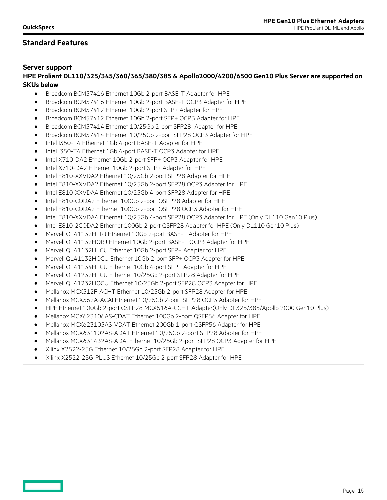### **Server support**

### **HPE Proliant DL110/325/345/360/365/380/385 & Apollo2000/4200/6500 Gen10 Plus Server are supported on SKUs below**

- Broadcom BCM57416 Ethernet 10Gb 2-port BASE-T Adapter for HPE
- Broadcom BCM57416 Ethernet 10Gb 2-port BASE-T OCP3 Adapter for HPE
- Broadcom BCM57412 Ethernet 10Gb 2-port SFP+ Adapter for HPE
- Broadcom BCM57412 Ethernet 10Gb 2-port SFP+ OCP3 Adapter for HPE
- Broadcom BCM57414 Ethernet 10/25Gb 2-port SFP28 Adapter for HPE
- Broadcom BCM57414 Ethernet 10/25Gb 2-port SFP28 OCP3 Adapter for HPE
- Intel I350-T4 Ethernet 1Gb 4-port BASE-T Adapter for HPE
- Intel I350-T4 Ethernet 1Gb 4-port BASE-T OCP3 Adapter for HPE
- Intel X710-DA2 Ethernet 10Gb 2-port SFP+ OCP3 Adapter for HPE
- Intel X710-DA2 Ethernet 10Gb 2-port SFP+ Adapter for HPE
- Intel E810-XXVDA2 Ethernet 10/25Gb 2-port SFP28 Adapter for HPE
- Intel E810-XXVDA2 Ethernet 10/25Gb 2-port SFP28 OCP3 Adapter for HPE
- Intel E810-XXVDA4 Ethernet 10/25Gb 4-port SFP28 Adapter for HPE
- Intel E810-CQDA2 Ethernet 100Gb 2-port QSFP28 Adapter for HPE
- Intel E810-CQDA2 Ethernet 100Gb 2-port QSFP28 OCP3 Adapter for HPE
- Intel E810-XXVDA4 Ethernet 10/25Gb 4-port SFP28 OCP3 Adapter for HPE (Only DL110 Gen10 Plus)
- Intel E810-2CQDA2 Ethernet 100Gb 2-port QSFP28 Adapter for HPE (Only DL110 Gen10 Plus)
- Marvell QL41132HLRJ Ethernet 10Gb 2-port BASE-T Adapter for HPE
- Marvell QL41132HQRJ Ethernet 10Gb 2-port BASE-T OCP3 Adapter for HPE
- Marvell QL41132HLCU Ethernet 10Gb 2-port SFP+ Adapter for HPE
- Marvell QL41132HQCU Ethernet 10Gb 2-port SFP+ OCP3 Adapter for HPE
- Marvell QL41134HLCU Ethernet 10Gb 4-port SFP+ Adapter for HPE
- Marvell QL41232HLCU Ethernet 10/25Gb 2-port SFP28 Adapter for HPE
- Marvell QL41232HQCU Ethernet 10/25Gb 2-port SFP28 OCP3 Adapter for HPE
- Mellanox MCX512F-ACHT Ethernet 10/25Gb 2-port SFP28 Adapter for HPE
- Mellanox MCX562A-ACAI Ethernet 10/25Gb 2-port SFP28 OCP3 Adapter for HPE
- HPE Ethernet 100Gb 2-port QSFP28 MCX516A-CCHT Adapter(Only DL325/385/Apollo 2000 Gen10 Plus)
- Mellanox MCX623106AS-CDAT Ethernet 100Gb 2-port QSFP56 Adapter for HPE
- Mellanox MCX623105AS-VDAT Ethernet 200Gb 1-port QSFP56 Adapter for HPE
- Mellanox MCX631102AS-ADAT Ethernet 10/25Gb 2-port SFP28 Adapter for HPE
- Mellanox MCX631432AS-ADAI Ethernet 10/25Gb 2-port SFP28 OCP3 Adapter for HPE
- Xilinx X2522-25G Ethernet 10/25Gb 2-port SFP28 Adapter for HPE
- Xilinx X2522-25G-PLUS Ethernet 10/25Gb 2-port SFP28 Adapter for HPE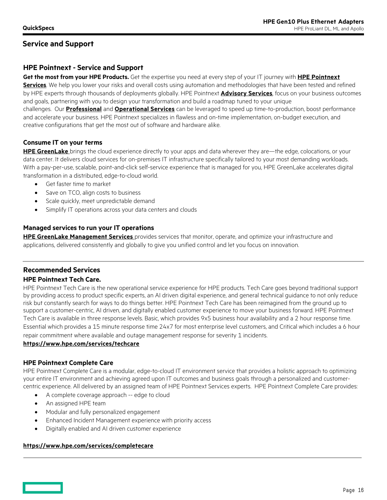## **Service and Support**

## **HPE Pointnext - Service and Support**

**Get the most from your HPE Products.** Get the expertise you need at every step of your IT journey with **[HPE Pointnext](https://www.hpe.com/us/en/services.html)  [Se](https://www.hpe.com/us/en/services.html)rvices**. We help you lower your risks and overall costs using automation and methodologies that have been tested and refined by HPE experts through thousands of deployments globally. HPE Pointnext **[Advisory Services](https://www.hpe.com/us/en/services/consulting.html)**, focus on your business outcomes and goals, partnering with you to design your transformation and build a roadmap tuned to your unique challenges. Our **[Professional](https://h20195.www2.hpe.com/v2/Getdocument.aspx?docname=a00059438enw)** and **[Operational Services](https://www.hpe.com/us/en/services/operational.html)** can be leveraged to speed up time-to-production, boost performance and accelerate your business. HPE Pointnext specializes in flawless and on-time implementation, on-budget execution, and creative configurations that get the most out of software and hardware alike.

### **Consume IT on your terms**

**HPE [GreenLake](https://www.hpe.com/GreenLake)** brings the cloud experience directly to your apps and data wherever they are—the edge, colocations, or your data center. It delivers cloud services for on-premises IT infrastructure specifically tailored to your most demanding workloads. With a pay-per-use, scalable, point-and-click self-service experience that is managed for you, HPE GreenLake accelerates digital transformation in a distributed, edge-to-cloud world.

- Get faster time to market
- Save on TCO, align costs to business
- Scale quickly, meet unpredictable demand
- Simplify IT operations across your data centers and clouds

#### **Managed services to run your IT operations**

**HPE GreenLake [Management Services](https://www.hpe.com/us/en/services/remote-infrastructure-monitoring.html)** provides services that monitor, operate, and optimize your infrastructure and applications, delivered consistently and globally to give you unified control and let you focus on innovation.

## **Recommended Services**

#### **HPE Pointnext Tech Care.**

HPE Pointnext Tech Care is the new operational service experience for HPE products. Tech Care goes beyond traditional support by providing access to product specific experts, an AI driven digital experience, and general technical guidance to not only reduce risk but constantly search for ways to do things better. HPE Pointnext Tech Care has been reimagined from the ground up to support a customer-centric, AI driven, and digitally enabled customer experience to move your business forward. HPE Pointnext Tech Care is available in three response levels. Basic, which provides 9x5 business hour availability and a 2 hour response time. Essential which provides a 15 minute response time 24x7 for most enterprise level customers, and Critical which includes a 6 hour repair commitment where available and outage management response for severity 1 incidents.

#### **<https://www.hpe.com/services/techcare>**

#### **HPE Pointnext Complete Care**

HPE Pointnext Complete Care is a modular, edge-to-cloud IT environment service that provides a holistic approach to optimizing your entire IT environment and achieving agreed upon IT outcomes and business goals through a personalized and customercentric experience. All delivered by an assigned team of HPE Pointnext Services experts. HPE Pointnext Complete Care provides:

- A complete coverage approach -- edge to cloud
- An assigned HPE team
- Modular and fully personalized engagement
- Enhanced Incident Management experience with priority access
- Digitally enabled and AI driven customer experience

### **<https://www.hpe.com/services/completecare>**

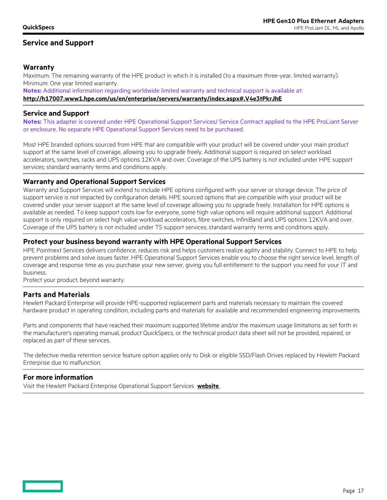## **Service and Support**

### **Warranty**

Maximum: The remaining warranty of the HPE product in which it is installed (to a maximum three-year, limited warranty). Minimum: One year limited warranty.

**Notes:** Additional information regarding worldwide limited warranty and technical support is available at: **<http://h17007.www1.hpe.com/us/en/enterprise/servers/warranty/index.aspx#.V4e3tPkrJhE>**

#### **Service and Support**

**Notes:** This adapter is covered under HPE Operational Support Services/ Service Contract applied to the HPE ProLiant Server or enclosure. No separate HPE Operational Support Services need to be purchased.

Most HPE branded options sourced from HPE that are compatible with your product will be covered under your main product support at the same level of coverage, allowing you to upgrade freely. Additional support is required on select workload accelerators, switches, racks and UPS options 12KVA and over. Coverage of the UPS battery is not included under HPE support services; standard warranty terms and conditions apply.

#### **Warranty and Operational Support Services**

Warranty and Support Services will extend to include HPE options configured with your server or storage device. The price of support service is not impacted by configuration details. HPE sourced options that are compatible with your product will be covered under your server support at the same level of coverage allowing you to upgrade freely. Installation for HPE options is available as needed. To keep support costs low for everyone, some high value options will require additional support. Additional support is only required on select high value workload accelerators, fibre switches, InfiniBand and UPS options 12KVA and over. Coverage of the UPS battery is not included under TS support services; standard warranty terms and conditions apply.

### **Protect your business beyond warranty with HPE Operational Support Services**

HPE Pointnext Services delivers confidence, reduces risk and helps customers realize agility and stability. Connect to HPE to help prevent problems and solve issues faster. HPE Operational Support Services enable you to choose the right service level, length of coverage and response time as you purchase your new server, giving you full entitlement to the support you need for your IT and business.

Protect your product, beyond warranty.

#### **Parts and Materials**

Hewlett Packard Enterprise will provide HPE-supported replacement parts and materials necessary to maintain the covered hardware product in operating condition, including parts and materials for available and recommended engineering improvements.

Parts and components that have reached their maximum supported lifetime and/or the maximum usage limitations as set forth in the manufacturer's operating manual, product QuickSpecs, or the technical product data sheet will not be provided, repaired, or replaced as part of these services.

The defective media retention service feature option applies only to Disk or eligible SSD/Flash Drives replaced by Hewlett Packard Enterprise due to malfunction.

### **For more information**

Visit the Hewlett Packard Enterprise Operational Support Services **[website](https://www.hpe.com/us/en/services/operational.html)**.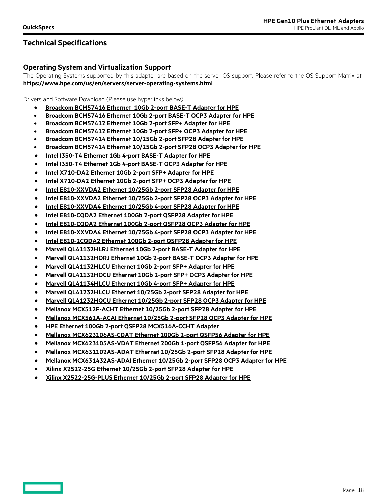### **Operating System and Virtualization Support**

The Operating Systems supported by this adapter are based on the server OS support. Please refer to the OS Support Matrix at **<https://www.hpe.com/us/en/servers/server-operating-systems.html>**

Drivers and Software Download (Please use hyperlinks below)

- **[Broadcom BCM57416 Ethernet 10Gb 2-port BASE-T Adapter for HPE](https://www.broadcom.com/products/ethernet-connectivity/network-adapters/10gb-nic-ocp/p210tp)**
- **[Broadcom BCM57416 Ethernet 10Gb 2-port BASE-T OCP3 Adapter for HPE](https://www.broadcom.com/products/ethernet-connectivity/network-adapters/10gb-nic-ocp/n210tp)**
- **[Broadcom BCM57412 Ethernet 10Gb 2-port SFP+ Adapter for HPE](https://www.broadcom.com/products/ethernet-connectivity/network-adapters/10gb-nic-ocp/p210p)**
- **[Broadcom BCM57412 Ethernet 10Gb 2-port SFP+ OCP3 Adapter for HPE](https://www.broadcom.com/products/ethernet-connectivity/network-adapters/10gb-nic-ocp/n210p)**
- **[Broadcom BCM57414 Ethernet 10/25Gb 2-port SFP28 Adapter for HPE](https://www.broadcom.com/products/ethernet-connectivity/network-adapters/25gb-nic-ocp/p225p)**
- **[Broadcom BCM57414 Ethernet 10/25Gb 2-port SFP28 OCP3 Adapter for HPE](https://www.broadcom.com/products/ethernet-connectivity/network-adapters/25gb-nic-ocp/n225p)**
- **[Intel I350-T4 Ethernet 1Gb 4-port BASE-T Adapter for HPE](https://downloadcenter.intel.com/product/36773/Ethernet-Products)**
- **[Intel I350-T4 Ethernet 1Gb 4-port BASE-T OCP3 Adapter for HPE](https://downloadcenter.intel.com/product/36773/Ethernet-Products)**
- **[Intel X710-DA2 Ethernet 10Gb 2-port SFP+ Adapter for HPE](https://downloadcenter.intel.com/product/36773/Ethernet-Products)**
- **[Intel X710-DA2 Ethernet 10Gb 2-port SFP+ OCP3 Adapter for HPE](https://downloadcenter.intel.com/product/36773/Ethernet-Products)**
- **[Intel E810-XXVDA2 Ethernet 10/25Gb 2-port SFP28 Adapter for HPE](https://downloadcenter.intel.com/product/36773/Ethernet-Products)**
- **[Intel E810-XXVDA2 Ethernet 10/25Gb 2-port SFP28 OCP3 Adapter for HPE](https://downloadcenter.intel.com/product/36773/Ethernet-Products)**
- **[Intel E810-XXVDA4 Ethernet 10/25Gb 4-port SFP28 Adapter for HPE](https://downloadcenter.intel.com/product/36773/Ethernet-Products)**
- **[Intel E810-CQDA2 Ethernet 100Gb 2-port QSFP28 Adapter for HPE](https://downloadcenter.intel.com/product/36773/Ethernet-Products)**
- **[Intel E810-CQDA2 Ethernet 100Gb 2-port QSFP28 OCP3](https://downloadcenter.intel.com/product/36773/Ethernet-Products) Adapter for HPE**
- **[Intel E810-XXVDA4 Ethernet 10/25Gb 4-port SFP28 OCP3 Adapter for HPE](https://downloadcenter.intel.com/product/36773/Ethernet-Products)**
- **[Intel E810-2CQDA2 Ethernet 100Gb 2-port QSFP28 Adapter for HPE](https://www.intel.com/content/www/us/en/support/products/36773/ethernet-products.html)**
- **[Marvell QL41132HLRJ Ethernet 10Gb 2-port BASE-T Adapter for HPE](https://www.marvell.com/hpe/hpe-industry-standard-adapters.jsp)**
- **[Marvell QL41132HQRJ Ethernet 10Gb 2-port BASE-T OCP3 Adapter for HPE](https://www.marvell.com/hpe/hpe-industry-standard-adapters.jsp)**
- **[Marvell QL41132HLCU Ethernet 10Gb 2-port SFP+ Adapter for HPE](https://www.marvell.com/hpe/hpe-industry-standard-adapters.jsp)**
- **[Marvell QL41132HQCU Ethernet 10Gb 2-port SFP+ OCP3 Adapter for HPE](https://www.marvell.com/hpe/hpe-industry-standard-adapters.jsp)**
- **[Marvell QL41134HLCU Ethernet 10Gb 4-port SFP+ Adapter for HPE](https://www.marvell.com/hpe/hpe-industry-standard-adapters.jsp)**
- **[Marvell QL41232HLCU Ethernet 10/25Gb 2-port SFP28 Adapter for HPE](https://www.marvell.com/hpe/hpe-industry-standard-adapters.jsp)**
- **[Marvell QL41232HQCU Ethernet 10/25Gb 2-port SFP28 OCP3 Adapter](https://www.marvell.com/hpe/hpe-industry-standard-adapters.jsp) for HPE**
- **[Mellanox MCX512F-ACHT Ethernet 10/25Gb 2-port SFP28 Adapter for HPE](https://www.mellanox.com/page/firmware_table_ConnectX5EN)**
- **[Mellanox MCX562A-ACAI Ethernet 10/25Gb 2-port SFP28 OCP3 Adapter for HPE](https://www.mellanox.com/page/firmware_table_ConnectX5EN)**
- **[HPE Ethernet 100Gb 2-port QSFP28 MCX516A-CCHT Adapter](https://www.mellanox.com/page/firmware_table_ConnectX5EN)**
- **[Mellanox MCX623106AS-CDAT Ethernet 100Gb 2-port QSFP56 Adapter for HPE](https://www.mellanox.com/support/firmware/connectx6dx)**
- **[Mellanox MCX623105AS-VDAT Ethernet 200Gb 1-port QSFP56 Adapter for HPE](https://www.mellanox.com/support/firmware/connectx6dx)**
- **[Mellanox MCX631102AS-ADAT Ethernet 10/25Gb 2-port SFP28 Adapter for HPE](https://www.mellanox.com/support/firmware/connectx6lx)**
- **[Mellanox MCX631432AS-ADAI Ethernet 10/25Gb 2-port SFP28 OCP3 Adapter for HPE](https://www.mellanox.com/support/firmware/connectx6lx)**
- **[Xilinx X2522-25G Ethernet 10/25Gb 2-port SFP28 Adapter for HPE](https://support.solarflare.com/index.php?option=com_cognidox&view=categories&id=165)**
- **[Xilinx X2522-25G-PLUS Ethernet 10/25Gb 2-port SFP28 Adapter for HPE](https://support.solarflare.com/index.php?option=com_cognidox&view=categories&id=165)**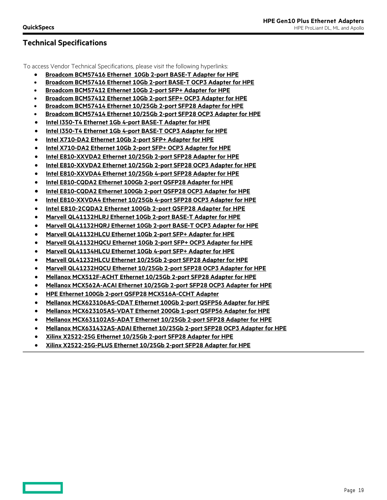To access Vendor Technical Specifications, please visit the following hyperlinks:

- **[Broadcom BCM57416 Ethernet 10Gb 2-port BASE-T Adapter for HPE](https://www.broadcom.com/products/ethernet-connectivity/network-adapters/10gb-nic-ocp/p210tp)**
- **[Broadcom BCM57416 Ethernet 10Gb 2-port BASE-T OCP3 Adapter for HPE](https://www.broadcom.com/products/ethernet-connectivity/network-adapters/10gb-nic-ocp/n210tp)**
- **[Broadcom BCM57412 Ethernet 10Gb 2-port SFP+ Adapter for HPE](https://www.broadcom.com/products/ethernet-connectivity/network-adapters/10gb-nic-ocp/p210p)**
- **[Broadcom BCM57412 Ethernet 10Gb 2-port SFP+ OCP3 Adapter for HPE](https://www.broadcom.com/products/ethernet-connectivity/network-adapters/10gb-nic-ocp/n210p)**
- **[Broadcom BCM57414 Ethernet 10/25Gb 2-port SFP28 Adapter for HPE](https://www.broadcom.com/products/ethernet-connectivity/network-adapters/25gb-nic-ocp/p225p)**
- **[Broadcom BCM57414 Ethernet 10/25Gb 2-port SFP28 OCP3 Adapter for HPE](https://www.broadcom.com/products/ethernet-connectivity/network-adapters/25gb-nic-ocp/n225p)**
- **[Intel I350-T4 Ethernet 1Gb 4-port BASE-T Adapter for HPE](https://www.intel.com/content/www/us/en/products/docs/network-io/ethernet/10-25-40-gigabit-adapters/ethernet-i350-server-adapter-brief.html)**
- **[Intel I350-T4 Ethernet 1Gb 4-port BASE-T OCP3 Adapter for HPE](https://www.intel.com/content/www/us/en/products/docs/network-io/ethernet/network-adapters/ethernet-adapter-i350-for-ocp-brief.html)**
- **[Intel X710-DA2 Ethernet 10Gb 2-port SFP+ Adapter for HPE](https://www.intel.com/content/dam/www/public/us/en/documents/product-briefs/ethernet-x710-brief.pdf)**
- **[Intel X710-DA2 Ethernet 10Gb 2-port SFP+ OCP3 Adapter for HPE](https://www.intel.com/content/www/us/en/products/docs/network-io/ethernet/network-adapters/ethernet-network-adapter-x710-for-ocp-3-brief.html)**
- **[Intel E810-XXVDA2 Ethernet 10/25Gb 2-port SFP28 Adapter for HPE](https://www.intel.com/content/www/us/en/products/docs/network-io/ethernet/network-adapters/ethernet-800-series-network-adapters/e810-xxvda2-25gbe-brief.html)**
- **[Intel E810-XXVDA2 Ethernet 10/25Gb 2-port SFP28 OCP3 Adapter for HPE](https://www.intel.com/content/www/us/en/products/docs/network-io/ethernet/network-adapters/ethernet-800-series-network-adapters/e810-xxvda2-ocp3-0-25gbe-brief.html)**
- **[Intel E810-XXVDA4 Ethernet 10/25Gb 4-port SFP28 Adapter for HPE](https://www.intel.com/content/www/us/en/products/docs/network-io/ethernet/network-adapters/ethernet-800-series-network-adapters/e810-xxvda4-25gbe-brief.html)**
- **[Intel E810-CQDA2 Ethernet 100Gb 2-port QSFP28 Adapter for HPE](https://www.intel.com/content/www/us/en/products/network-io/ethernet/ethernet-adapters/ethernet-800-series-network-adapters/e810-cqda2.html)**
- **[Intel E810-CQDA2 Ethernet 100Gb 2-port QSFP28 OCP3 Adapter for HPE](https://www.intel.com/content/www/us/en/products/docs/network-io/ethernet/network-adapters/ethernet-800-series-network-adapters/e810-cqda1-cqda2-ocp3-0-100gbe-brief.html)**
- **[Intel E810-XXVDA4 Ethernet 10/25Gb 4-port SFP28 OCP3 Adapter for HPE](https://www.intel.com/content/www/us/en/products/docs/network-io/ethernet/network-adapters/ethernet-800-series-network-adapters/e810-xxvda4-25gbe-brief.html)**
- **[Intel E810-2CQDA2 Ethernet 100Gb 2-port QSFP28 Adapter for HPE](https://ark.intel.com/content/www/us/en/ark/products/210969/intel-ethernet-network-adapter-e810-2cqda2.html)**
- **[Marvell QL41132HLRJ Ethernet 10Gb 2-port BASE-T Adapter for HPE](https://www.marvell.com/content/dam/marvell/en/public-collateral/hpe/hpe-marvell-pb-fastlinq-41000-series-adapters.pdf)**
- **[Marvell QL41132HQRJ Ethernet 10Gb 2-port BASE-T OCP3 Adapter for HPE](https://www.marvell.com/content/dam/marvell/en/public-collateral/hpe/hpe-marvell-pb-fastlinq-41000-series-adapters.pdf)**
- **[Marvell QL41132HLCU Ethernet 10Gb 2-port SFP+ Adapter for HPE](https://www.marvell.com/content/dam/marvell/en/public-collateral/hpe/hpe-marvell-pb-fastlinq-41000-series-adapters.pdf)**
- **[Marvell QL41132HQCU Ethernet 10Gb 2-port SFP+ OCP3 Adapter for HPE](https://www.marvell.com/content/dam/marvell/en/public-collateral/hpe/hpe-marvell-pb-fastlinq-41000-series-adapters.pdf)**
- **[Marvell QL41134HLCU Ethernet 10Gb 4-port SFP+ Adapter for HPE](https://www.marvell.com/content/dam/marvell/en/public-collateral/hpe/hpe-marvell-pb-fastlinq-41000-series-adapters.pdf)**
- **[Marvell QL41232HLCU Ethernet 10/25Gb 2-port SFP28 Adapter for HPE](https://www.marvell.com/content/dam/marvell/en/public-collateral/hpe/hpe-marvell-pb-fastlinq-41000-series-adapters.pdf)**
- **[Marvell QL41232HQCU Ethernet 10/25Gb 2-port SFP28 OCP3 Adapter for HPE](https://www.marvell.com/content/dam/marvell/en/public-collateral/hpe/hpe-marvell-pb-fastlinq-41000-series-adapters.pdf)**
- **[Mellanox MCX512F-ACHT Ethernet 10/25Gb 2-port SFP28 Adapter for HPE](https://www.mellanox.com/files/doc-2020/pb-connectx-5-en-card.pdf)**
- **[Mellanox MCX562A-ACAI Ethernet 10/25Gb 2-port SFP28 OCP3 Adapter for HPE](https://www.mellanox.com/files/doc-2020/pb-connectx-5-en-card.pdf)**
- **[HPE Ethernet 100Gb 2-port QSFP28 MCX516A-CCHT Adapter](https://www.mellanox.com/files/doc-2020/pb-connectx-5-en-card.pdf)**
- **[Mellanox MCX623106AS-CDAT Ethernet 100Gb 2-port QSFP56 Adapter for HPE](https://www.mellanox.com/files/doc-2020/pb-connectx-6-dx-en-hpe.pdf)**
- **[Mellanox MCX623105AS-VDAT Ethernet 200Gb 1-port QSFP56 Adapter for HPE](https://www.mellanox.com/files/doc-2020/pb-connectx-6-dx-en-hpe.pdf)**
- **[Mellanox MCX631102AS-ADAT Ethernet 10/25Gb 2-port SFP28 Adapter for HPE](https://nvdam.widen.net/s/nqbftvdlh7/connectx-6-lx-en-card-product-brief-1731006)**
- **[Mellanox MCX631432AS-ADAI Ethernet 10/25Gb 2-port SFP28 OCP3 Adapter for HPE](https://nvdam.widen.net/s/nqbftvdlh7/connectx-6-lx-en-card-product-brief-1731006)**
- **[Xilinx X2522-25G Ethernet 10/25Gb 2-port SFP28 Adapter for HPE](https://www.xilinx.com/publications/product-briefs/xtremescale-x2522-product-brief.pdf)**
- **[Xilinx X2522-25G-PLUS Ethernet 10/25Gb 2-port SFP28 Adapter for HPE](https://www.xilinx.com/publications/product-briefs/xtremescale-x2522-product-brief.pdf)**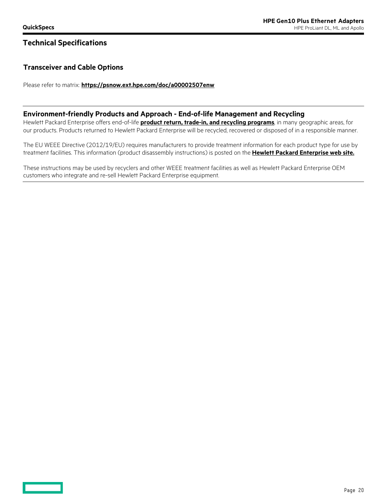## **Technical Specifications**

## **Transceiver and Cable Options**

Please refer to matrix: **<https://psnow.ext.hpe.com/doc/a00002507enw>**

#### **Environment-friendly Products and Approach - End-of-life Management and Recycling**

Hewlett Packard Enterprise offers end-of-life **[product return, trade-in, and recycling programs](http://www.hpe.com/RECYCLE)**, in many geographic areas, for our products. Products returned to Hewlett Packard Enterprise will be recycled, recovered or disposed of in a responsible manner.

The EU WEEE Directive (2012/19/EU) requires manufacturers to provide treatment information for each product type for use by treatment facilities. This information (product disassembly instructions) is posted on the **[Hewlett Packard Enterprise web site.](http://www.hpe.com/RECYCLE)**

These instructions may be used by recyclers and other WEEE treatment facilities as well as Hewlett Packard Enterprise OEM customers who integrate and re-sell Hewlett Packard Enterprise equipment.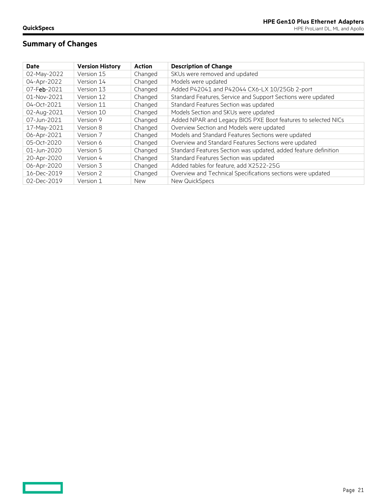$\qquad \qquad \Box$ 

# **Summary of Changes**

| <b>Date</b> | <b>Version History</b> | <b>Action</b> | <b>Description of Change</b>                                    |
|-------------|------------------------|---------------|-----------------------------------------------------------------|
| 02-May-2022 | Version 15             | Changed       | SKUs were removed and updated                                   |
| 04-Apr-2022 | Version 14             | Changed       | Models were updated                                             |
| 07-Feb-2021 | Version 13             | Changed       | Added P42041 and P42044 CX6-LX 10/25Gb 2-port                   |
| 01-Nov-2021 | Version 12             | Changed       | Standard Features, Service and Support Sections were updated    |
| 04-Oct-2021 | Version 11             | Changed       | Standard Features Section was updated                           |
| 02-Aug-2021 | Version 10             | Changed       | Models Section and SKUs were updated                            |
| 07-Jun-2021 | Version 9              | Changed       | Added NPAR and Legacy BIOS PXE Boot features to selected NICs   |
| 17-May-2021 | Version 8              | Changed       | Overview Section and Models were updated                        |
| 06-Apr-2021 | Version 7              | Changed       | Models and Standard Features Sections were updated              |
| 05-Oct-2020 | Version 6              | Changed       | Overview and Standard Features Sections were updated            |
| 01-Jun-2020 | Version 5              | Changed       | Standard Features Section was updated, added feature definition |
| 20-Apr-2020 | Version 4              | Changed       | Standard Features Section was updated                           |
| 06-Apr-2020 | Version 3              | Changed       | Added tables for feature, add X2522-25G                         |
| 16-Dec-2019 | Version 2              | Changed       | Overview and Technical Specifications sections were updated     |
| 02-Dec-2019 | Version 1              | <b>New</b>    | New QuickSpecs                                                  |